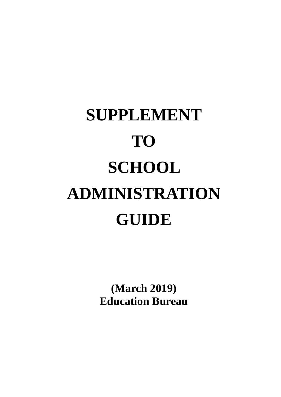# **SUPPLEMENT TO SCHOOL ADMINISTRATION GUIDE**

**(March 2019) Education Bureau**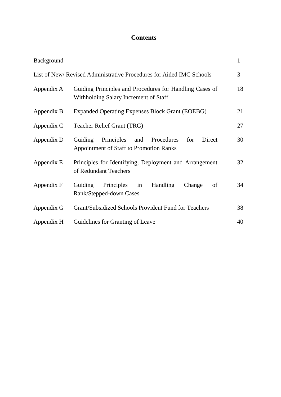### **Contents**

| Background |                                                                                                         | $\mathbf{1}$   |  |  |  |
|------------|---------------------------------------------------------------------------------------------------------|----------------|--|--|--|
|            | List of New/Revised Administrative Procedures for Aided IMC Schools                                     | $\overline{3}$ |  |  |  |
| Appendix A | 18<br>Guiding Principles and Procedures for Handling Cases of<br>Withholding Salary Increment of Staff  |                |  |  |  |
| Appendix B | <b>Expanded Operating Expenses Block Grant (EOEBG)</b><br>21                                            |                |  |  |  |
| Appendix C | 27<br>Teacher Relief Grant (TRG)                                                                        |                |  |  |  |
| Appendix D | Principles and Procedures<br>Direct<br>Guiding<br>for<br><b>Appointment of Staff to Promotion Ranks</b> | 30             |  |  |  |
| Appendix E | Principles for Identifying, Deployment and Arrangement<br>of Redundant Teachers                         | 32             |  |  |  |
| Appendix F | Principles in<br>Handling<br>Guiding<br>Change<br>of<br>Rank/Stepped-down Cases                         | 34             |  |  |  |
| Appendix G | Grant/Subsidized Schools Provident Fund for Teachers<br>38                                              |                |  |  |  |
| Appendix H | Guidelines for Granting of Leave<br>40                                                                  |                |  |  |  |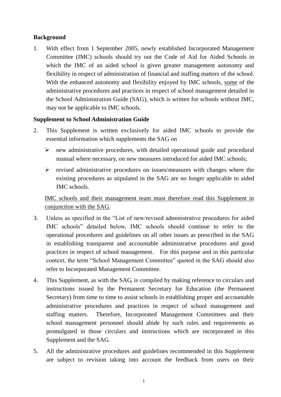#### <span id="page-2-0"></span>**Background**

1. With effect from 1 September 2005, newly established Incorporated Management Committee (IMC) schools should try out the Code of Aid for Aided Schools in which the IMC of an aided school is given greater management autonomy and flexibility in respect of administration of financial and staffing matters of the school. With the enhanced autonomy and flexibility enjoyed by IMC schools, some of the administrative procedures and practices in respect of school management detailed in the School Administration Guide (SAG), which is written for schools without IMC, may not be applicable to IMC schools.

#### **Supplement to School Administration Guide**

- 2. This Supplement is written exclusively for aided IMC schools to provide the essential information which supplements the SAG on
	- $\triangleright$  new administrative procedures, with detailed operational guide and procedural manual where necessary, on new measures introduced for aided IMC schools;
	- $\triangleright$  revised administrative procedures on issues/measures with changes where the existing procedures as stipulated in the SAG are no longer applicable to aided IMC schools.

IMC schools and their management team must therefore read this Supplement in conjunction with the SAG.

- 3. Unless as specified in the "List of new/revised administrative procedures for aided IMC schools" detailed below, IMC schools should continue to refer to the operational procedures and guidelines on all other issues as prescribed in the SAG in establishing transparent and accountable administrative procedures and good practices in respect of school management. For this purpose and in this particular context, the term "School Management Committee" quoted in the SAG should also refer to Incorporated Management Committee.
- 4. This Supplement, as with the SAG, is compiled by making reference to circulars and instructions issued by the Permanent Secretary for Education (the Permanent Secretary) from time to time to assist schools in establishing proper and accountable administrative procedures and practices in respect of school management and staffing matters. Therefore, Incorporated Management Committees and their school management personnel should abide by such rules and requirements as promulgated in those circulars and instructions which are incorporated in this Supplement and the SAG.
- 5. All the administrative procedures and guidelines recommended in this Supplement are subject to revision taking into account the feedback from users on their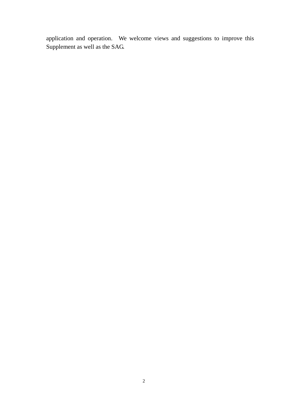application and operation. We welcome views and suggestions to improve this Supplement as well as the SAG.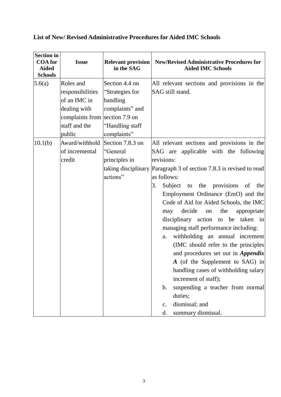| <b>Section in</b><br><b>COA</b> for<br><b>Aided</b><br><b>Schools</b> | <b>Issue</b>                   | <b>Relevant provision</b><br>in the SAG | <b>New/Revised Administrative Procedures for</b><br><b>Aided IMC Schools</b> |
|-----------------------------------------------------------------------|--------------------------------|-----------------------------------------|------------------------------------------------------------------------------|
| 5.6(a)                                                                | Roles and                      | Section 4.4 on                          | All relevant sections and provisions in the                                  |
|                                                                       | responsibilities               | "Strategies for                         | SAG still stand.                                                             |
|                                                                       | of an IMC in                   | handling                                |                                                                              |
|                                                                       | dealing with                   | complaints" and                         |                                                                              |
|                                                                       | complaints from section 7.9 on |                                         |                                                                              |
|                                                                       | staff and the                  | "Handling staff                         |                                                                              |
|                                                                       | public                         | complaints"                             |                                                                              |
| 10.1(b)                                                               | Award/withhold                 | Section 7.8.3 on                        | All relevant sections and provisions in the                                  |
|                                                                       | of incremental                 | "General                                | SAG are applicable with the following                                        |
|                                                                       | credit                         | principles in                           | revisions:                                                                   |
|                                                                       |                                |                                         | taking disciplinary Paragraph 3 of section 7.8.3 is revised to read          |
|                                                                       |                                | actions"                                | as follows:                                                                  |
|                                                                       |                                |                                         | Subject to the provisions<br>3.<br>of<br>the                                 |
|                                                                       |                                |                                         | Employment Ordinance (EmO) and the                                           |
|                                                                       |                                |                                         | Code of Aid for Aided Schools, the IMC                                       |
|                                                                       |                                |                                         | decide<br>the<br>on<br>appropriate<br>may                                    |
|                                                                       |                                |                                         | disciplinary action to be taken in                                           |
|                                                                       |                                |                                         | managing staff performance including:                                        |
|                                                                       |                                |                                         | withholding an annual increment<br>a.                                        |
|                                                                       |                                |                                         | (IMC should refer to the principles)                                         |
|                                                                       |                                |                                         | and procedures set out in <i>Appendix</i>                                    |
|                                                                       |                                |                                         | A (of the Supplement to SAG) in                                              |
|                                                                       |                                |                                         | handling cases of withholding salary                                         |
|                                                                       |                                |                                         | increment of staff);                                                         |
|                                                                       |                                |                                         | suspending a teacher from normal<br>b.                                       |
|                                                                       |                                |                                         | duties;                                                                      |
|                                                                       |                                |                                         | dismissal; and<br>$\mathbf{c}$ .                                             |
|                                                                       |                                |                                         | summary dismissal.<br>d.                                                     |

### <span id="page-4-0"></span>**List of New/ Revised Administrative Procedures for Aided IMC Schools**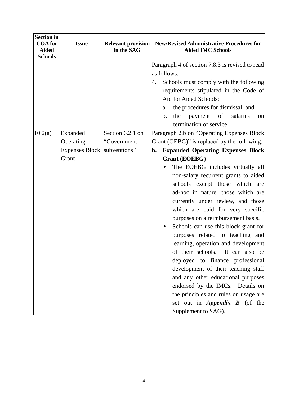| <b>Section in</b><br><b>COA</b> for<br><b>Aided</b><br><b>Schools</b> | <b>Issue</b>                                                         | <b>Relevant provision</b><br>in the SAG | <b>New/Revised Administrative Procedures for</b><br><b>Aided IMC Schools</b>                                                                                                                                                                                                                                                                                                                                                                                                                                                                                                                                                                                                                                                                                                                                                                              |
|-----------------------------------------------------------------------|----------------------------------------------------------------------|-----------------------------------------|-----------------------------------------------------------------------------------------------------------------------------------------------------------------------------------------------------------------------------------------------------------------------------------------------------------------------------------------------------------------------------------------------------------------------------------------------------------------------------------------------------------------------------------------------------------------------------------------------------------------------------------------------------------------------------------------------------------------------------------------------------------------------------------------------------------------------------------------------------------|
|                                                                       |                                                                      |                                         | Paragraph 4 of section 7.8.3 is revised to read<br>as follows:<br>Schools must comply with the following<br>4.<br>requirements stipulated in the Code of<br>Aid for Aided Schools:<br>the procedures for dismissal; and<br>a.<br>salaries<br>b.<br>the<br>payment<br>of<br>on<br>termination of service.                                                                                                                                                                                                                                                                                                                                                                                                                                                                                                                                                  |
| 10.2(a)                                                               | <b>Expanded</b><br>Operating<br>Expenses Block subventions"<br>Grant | Section 6.2.1 on<br>"Government         | Paragraph 2.b on "Operating Expenses Block<br>Grant (OEBG)" is replaced by the following:<br><b>Expanded Operating Expenses Block</b><br>b.<br><b>Grant (EOEBG)</b><br>The EOEBG includes virtually all<br>non-salary recurrent grants to aided<br>schools except those which are<br>ad-hoc in nature, those which are<br>currently under review, and those<br>which are paid for very specific<br>purposes on a reimbursement basis.<br>Schools can use this block grant for<br>purposes related to teaching and<br>learning, operation and development<br>of their schools. It can also be<br>deployed to finance professional<br>development of their teaching staff<br>and any other educational purposes<br>endorsed by the IMCs. Details on<br>the principles and rules on usage are<br>set out in <i>Appendix B</i> (of the<br>Supplement to SAG). |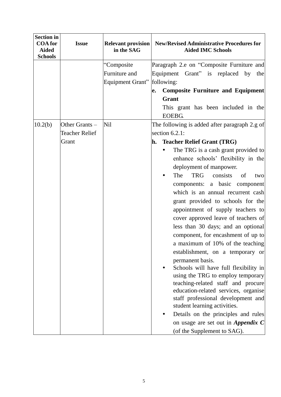| <b>Section in</b><br><b>COA</b> for | <b>Issue</b>          | <b>Relevant provision</b>    | <b>New/Revised Administrative Procedures for</b>                                    |
|-------------------------------------|-----------------------|------------------------------|-------------------------------------------------------------------------------------|
| <b>Aided</b><br><b>Schools</b>      |                       | in the SAG                   | <b>Aided IMC Schools</b>                                                            |
|                                     |                       | "Composite"<br>Furniture and | Paragraph 2.e on "Composite Furniture and<br>Equipment Grant" is replaced by<br>the |
|                                     |                       | <b>Equipment Grant"</b>      | following:                                                                          |
|                                     |                       |                              | <b>Composite Furniture and Equipment</b><br>e.                                      |
|                                     |                       |                              | Grant                                                                               |
|                                     |                       |                              | This grant has been included in the<br><b>EOEBG.</b>                                |
| 10.2(b)                             | Other Grants -        | <b>Nil</b>                   | The following is added after paragraph 2.g of                                       |
|                                     | <b>Teacher Relief</b> |                              | section $6.2.1$ :                                                                   |
|                                     | Grant                 |                              | <b>Teacher Relief Grant (TRG)</b><br>h.                                             |
|                                     |                       |                              | The TRG is a cash grant provided to                                                 |
|                                     |                       |                              | enhance schools' flexibility in the                                                 |
|                                     |                       |                              | deployment of manpower.                                                             |
|                                     |                       |                              | The<br><b>TRG</b><br>consists<br>of<br>two                                          |
|                                     |                       |                              | a basic component<br>components:                                                    |
|                                     |                       |                              | which is an annual recurrent cash<br>grant provided to schools for the              |
|                                     |                       |                              | appointment of supply teachers to                                                   |
|                                     |                       |                              | cover approved leave of teachers of                                                 |
|                                     |                       |                              | less than 30 days; and an optional                                                  |
|                                     |                       |                              | component, for encashment of up to                                                  |
|                                     |                       |                              | a maximum of 10% of the teaching                                                    |
|                                     |                       |                              | establishment, on a temporary or                                                    |
|                                     |                       |                              | permanent basis.                                                                    |
|                                     |                       |                              | Schools will have full flexibility in                                               |
|                                     |                       |                              | using the TRG to employ temporary                                                   |
|                                     |                       |                              | teaching-related staff and procure<br>education-related services, organise          |
|                                     |                       |                              | staff professional development and<br>student learning activities.                  |
|                                     |                       |                              | Details on the principles and rules                                                 |
|                                     |                       |                              | on usage are set out in <i>Appendix</i> $C$                                         |
|                                     |                       |                              | (of the Supplement to SAG).                                                         |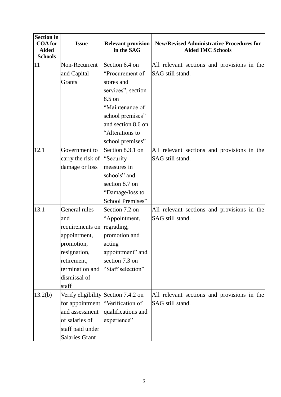| <b>Section in</b><br><b>COA</b> for<br><b>Aided</b><br><b>Schools</b> | <b>Issue</b>          | <b>Relevant provision</b><br>in the SAG | <b>New/Revised Administrative Procedures for</b><br><b>Aided IMC Schools</b> |
|-----------------------------------------------------------------------|-----------------------|-----------------------------------------|------------------------------------------------------------------------------|
| 11                                                                    | Non-Recurrent         | Section 6.4 on                          | All relevant sections and provisions in the                                  |
|                                                                       | and Capital           | "Procurement of                         | SAG still stand.                                                             |
|                                                                       | Grants                | stores and                              |                                                                              |
|                                                                       |                       | services", section                      |                                                                              |
|                                                                       |                       | 8.5 on                                  |                                                                              |
|                                                                       |                       | "Maintenance of                         |                                                                              |
|                                                                       |                       | school premises"                        |                                                                              |
|                                                                       |                       | and section 8.6 on                      |                                                                              |
|                                                                       |                       | "Alterations to                         |                                                                              |
|                                                                       |                       | school premises"                        |                                                                              |
| 12.1                                                                  | Government to         | Section 8.3.1 on                        | All relevant sections and provisions in the                                  |
|                                                                       | carry the risk of     | "Security"                              | SAG still stand.                                                             |
|                                                                       | damage or loss        | measures in                             |                                                                              |
|                                                                       |                       | schools" and                            |                                                                              |
|                                                                       |                       | section 8.7 on                          |                                                                              |
|                                                                       |                       | "Damage/loss to                         |                                                                              |
|                                                                       |                       | School Premises"                        |                                                                              |
| 13.1                                                                  | General rules         | Section 7.2 on                          | All relevant sections and provisions in the                                  |
|                                                                       | and                   | "Appointment,                           | SAG still stand.                                                             |
|                                                                       | requirements on       | regrading,                              |                                                                              |
|                                                                       | appointment,          | promotion and                           |                                                                              |
|                                                                       | promotion,            | acting                                  |                                                                              |
|                                                                       | resignation,          | appointment" and                        |                                                                              |
|                                                                       | retirement,           | section 7.3 on                          |                                                                              |
|                                                                       | termination and       | "Staff selection"                       |                                                                              |
|                                                                       | dismissal of          |                                         |                                                                              |
|                                                                       | staff                 |                                         |                                                                              |
| 13.2(b)                                                               |                       | Verify eligibility Section 7.4.2 on     | All relevant sections and provisions in the                                  |
|                                                                       | for appointment       | "Verification of                        | SAG still stand.                                                             |
|                                                                       | and assessment        | qualifications and                      |                                                                              |
|                                                                       | of salaries of        | experience"                             |                                                                              |
|                                                                       | staff paid under      |                                         |                                                                              |
|                                                                       | <b>Salaries Grant</b> |                                         |                                                                              |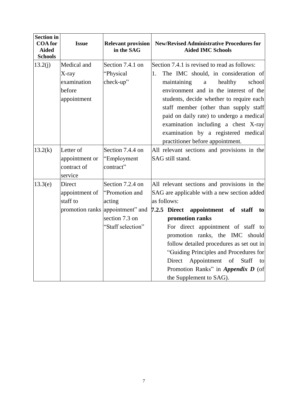| <b>Section in</b><br><b>COA</b> for<br><b>Aided</b><br><b>Schools</b> | <b>Issue</b>                                                    | <b>Relevant provision</b><br>in the SAG                                                                                 | <b>New/Revised Administrative Procedures for</b><br><b>Aided IMC Schools</b>                                                                                                                                                                                                                                                                                                                                                                                        |
|-----------------------------------------------------------------------|-----------------------------------------------------------------|-------------------------------------------------------------------------------------------------------------------------|---------------------------------------------------------------------------------------------------------------------------------------------------------------------------------------------------------------------------------------------------------------------------------------------------------------------------------------------------------------------------------------------------------------------------------------------------------------------|
| 13.2(j)                                                               | Medical and<br>$X$ -ray<br>examination<br>before<br>appointment | Section 7.4.1 on<br>"Physical<br>check-up"                                                                              | Section 7.4.1 is revised to read as follows:<br>The IMC should, in consideration of<br>1.<br>maintaining<br>healthy<br>school<br>a<br>environment and in the interest of the<br>students, decide whether to require each<br>staff member (other than supply staff<br>paid on daily rate) to undergo a medical<br>examination including a chest X-ray<br>examination by a registered medical<br>practitioner before appointment.                                     |
| 13.2(k)                                                               | Letter of<br>appointment or<br>contract of<br>service           | Section 7.4.4 on<br>"Employment<br>contract"                                                                            | All relevant sections and provisions in the<br>SAG still stand.                                                                                                                                                                                                                                                                                                                                                                                                     |
| 13.3(e)                                                               | Direct<br>appointment of<br>staff to                            | Section 7.2.4 on<br>"Promotion and<br>acting<br>promotion ranks appointment" and<br>section 7.3 on<br>"Staff selection" | All relevant sections and provisions in the<br>SAG are applicable with a new section added<br>as follows:<br>7.2.5 Direct appointment of staff<br>to<br>promotion ranks<br>For direct appointment of staff to<br>promotion ranks, the IMC should<br>follow detailed procedures as set out in<br>"Guiding Principles and Procedures for<br>Appointment<br>Direct<br>of<br><b>Staff</b><br>to<br>Promotion Ranks" in <i>Appendix D</i> (of<br>the Supplement to SAG). |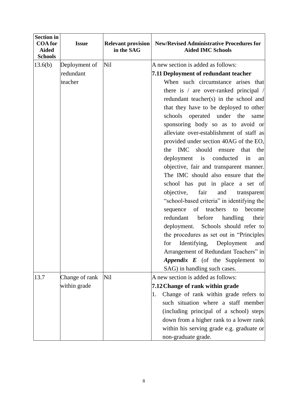| <b>Section in</b><br><b>COA</b> for<br><b>Aided</b><br><b>Schools</b> | <b>Issue</b>   | <b>Relevant provision</b><br>in the SAG | <b>New/Revised Administrative Procedures for</b><br><b>Aided IMC Schools</b> |
|-----------------------------------------------------------------------|----------------|-----------------------------------------|------------------------------------------------------------------------------|
| 13.6(b)                                                               | Deployment of  | <b>Nil</b>                              | A new section is added as follows:                                           |
|                                                                       | redundant      |                                         | 7.11 Deployment of redundant teacher                                         |
|                                                                       | teacher        |                                         | When such circumstance arises that                                           |
|                                                                       |                |                                         | there is / are over-ranked principal /                                       |
|                                                                       |                |                                         | redundant teacher(s) in the school and                                       |
|                                                                       |                |                                         | that they have to be deployed to other                                       |
|                                                                       |                |                                         | schools operated under the<br>same                                           |
|                                                                       |                |                                         | sponsoring body so as to avoid or                                            |
|                                                                       |                |                                         | alleviate over-establishment of staff as                                     |
|                                                                       |                |                                         | provided under section 40AG of the EO,                                       |
|                                                                       |                |                                         | the IMC should ensure<br>that<br>the                                         |
|                                                                       |                |                                         | deployment is conducted<br>in<br>an                                          |
|                                                                       |                |                                         | objective, fair and transparent manner.                                      |
|                                                                       |                |                                         | The IMC should also ensure that the                                          |
|                                                                       |                |                                         | school has put in place a set of                                             |
|                                                                       |                |                                         | fair<br>objective,<br>and<br>transparent                                     |
|                                                                       |                |                                         | "school-based criteria" in identifying the                                   |
|                                                                       |                |                                         | of teachers<br>become<br>sequence<br>to                                      |
|                                                                       |                |                                         | before<br>redundant<br>handling<br>their                                     |
|                                                                       |                |                                         | deployment. Schools should refer to                                          |
|                                                                       |                |                                         | the procedures as set out in "Principles                                     |
|                                                                       |                |                                         | for Identifying,<br>Deployment and                                           |
|                                                                       |                |                                         | Arrangement of Redundant Teachers" in                                        |
|                                                                       |                |                                         | Appendix E (of the Supplement to                                             |
|                                                                       |                |                                         | SAG) in handling such cases.                                                 |
| 13.7                                                                  | Change of rank | <b>Nil</b>                              | A new section is added as follows:                                           |
|                                                                       | within grade   |                                         | 7.12 Change of rank within grade                                             |
|                                                                       |                |                                         | Change of rank within grade refers to<br>1.                                  |
|                                                                       |                |                                         | such situation where a staff member                                          |
|                                                                       |                |                                         | (including principal of a school) steps                                      |
|                                                                       |                |                                         | down from a higher rank to a lower rank                                      |
|                                                                       |                |                                         | within his serving grade e.g. graduate or                                    |
|                                                                       |                |                                         | non-graduate grade.                                                          |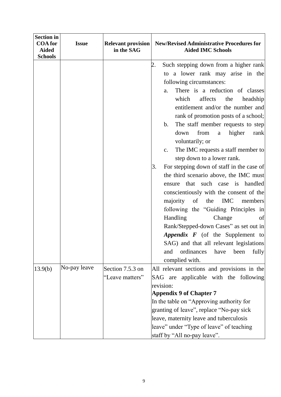| <b>Section in</b><br><b>COA</b> for<br><b>Aided</b><br><b>Schools</b> | <b>Issue</b> | <b>Relevant provision</b><br>in the SAG | <b>New/Revised Administrative Procedures for</b><br><b>Aided IMC Schools</b>                                                                                                                                                                                                                                                                                                                                                                                                                                                                                                                                                                                                                                                                                                                                                                                                                                                                |
|-----------------------------------------------------------------------|--------------|-----------------------------------------|---------------------------------------------------------------------------------------------------------------------------------------------------------------------------------------------------------------------------------------------------------------------------------------------------------------------------------------------------------------------------------------------------------------------------------------------------------------------------------------------------------------------------------------------------------------------------------------------------------------------------------------------------------------------------------------------------------------------------------------------------------------------------------------------------------------------------------------------------------------------------------------------------------------------------------------------|
|                                                                       |              |                                         | Such stepping down from a higher rank<br>2.<br>to a lower rank may arise in the<br>following circumstances:<br>There is a reduction of classes<br>a.<br>which<br>affects<br>the<br>headship<br>entitlement and/or the number and<br>rank of promotion posts of a school;<br>The staff member requests to step<br>b.<br>higher<br>down<br>from<br>rank<br>a<br>voluntarily; or<br>The IMC requests a staff member to<br>c.<br>step down to a lower rank.<br>For stepping down of staff in the case of<br>3.<br>the third scenario above, the IMC must<br>ensure that such case is handled<br>conscientiously with the consent of the<br>IMC<br>majority<br>of<br>the<br>members<br>following the "Guiding Principles in<br>Handling<br>Change<br>of<br>Rank/Stepped-down Cases" as set out in<br>Appendix F (of the Supplement to<br>SAG) and that all relevant legislations<br>ordinances<br>fully<br>and<br>have<br>been<br>complied with. |
| 13.9(b)                                                               | No-pay leave | Section 7.5.3 on<br>"Leave matters"     | All relevant sections and provisions in the<br>SAG are applicable with the following<br>revision:<br><b>Appendix 9 of Chapter 7</b><br>In the table on "Approving authority for<br>granting of leave", replace "No-pay sick<br>leave, maternity leave and tuberculosis<br>leave" under "Type of leave" of teaching<br>staff by "All no-pay leave".                                                                                                                                                                                                                                                                                                                                                                                                                                                                                                                                                                                          |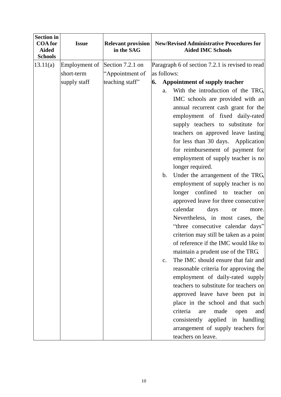| <b>Section in</b><br><b>COA</b> for<br><b>Aided</b><br><b>Schools</b> | <b>Issue</b>  | <b>Relevant provision</b><br>in the SAG | <b>New/Revised Administrative Procedures for</b><br><b>Aided IMC Schools</b> |
|-----------------------------------------------------------------------|---------------|-----------------------------------------|------------------------------------------------------------------------------|
| 13.11(a)                                                              | Employment of | Section 7.2.1 on                        | Paragraph 6 of section 7.2.1 is revised to read                              |
|                                                                       | short-term    | "Appointment of                         | as follows:                                                                  |
|                                                                       | supply staff  | teaching staff"                         | <b>Appointment of supply teacher</b><br>6.                                   |
|                                                                       |               |                                         | With the introduction of the TRG,<br>a.                                      |
|                                                                       |               |                                         | IMC schools are provided with an                                             |
|                                                                       |               |                                         | annual recurrent cash grant for the                                          |
|                                                                       |               |                                         | employment of fixed daily-rated                                              |
|                                                                       |               |                                         | supply teachers to substitute for                                            |
|                                                                       |               |                                         | teachers on approved leave lasting                                           |
|                                                                       |               |                                         | for less than 30 days. Application                                           |
|                                                                       |               |                                         | for reimbursement of payment for                                             |
|                                                                       |               |                                         | employment of supply teacher is no<br>longer required.                       |
|                                                                       |               |                                         | Under the arrangement of the TRG,<br>b.                                      |
|                                                                       |               |                                         | employment of supply teacher is no                                           |
|                                                                       |               |                                         | longer confined to teacher<br>on                                             |
|                                                                       |               |                                         | approved leave for three consecutive                                         |
|                                                                       |               |                                         | calendar<br>days<br>more.<br><b>or</b>                                       |
|                                                                       |               |                                         | Nevertheless, in most cases, the                                             |
|                                                                       |               |                                         | "three consecutive calendar days"                                            |
|                                                                       |               |                                         | criterion may still be taken as a point                                      |
|                                                                       |               |                                         | of reference if the IMC would like to                                        |
|                                                                       |               |                                         | maintain a prudent use of the TRG.                                           |
|                                                                       |               |                                         | The IMC should ensure that fair and<br>$\mathbf{c}$ .                        |
|                                                                       |               |                                         | reasonable criteria for approving the                                        |
|                                                                       |               |                                         | employment of daily-rated supply                                             |
|                                                                       |               |                                         | teachers to substitute for teachers on                                       |
|                                                                       |               |                                         | approved leave have been put in                                              |
|                                                                       |               |                                         | place in the school and that such                                            |
|                                                                       |               |                                         | criteria<br>made<br>are<br>open<br>and                                       |
|                                                                       |               |                                         | consistently applied in handling                                             |
|                                                                       |               |                                         | arrangement of supply teachers for                                           |
|                                                                       |               |                                         | teachers on leave.                                                           |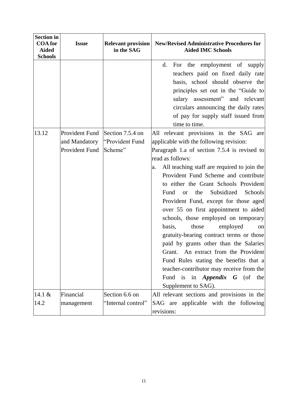| <b>Section in</b><br><b>COA</b> for<br><b>Aided</b><br><b>Schools</b> | <b>Issue</b>                                      | <b>Relevant provision</b><br>in the SAG        | <b>New/Revised Administrative Procedures for</b><br><b>Aided IMC Schools</b>                                                                                                                                                                                                                                                                                                                                                                                                                                                                                                                                                                                                                                                                                                                            |
|-----------------------------------------------------------------------|---------------------------------------------------|------------------------------------------------|---------------------------------------------------------------------------------------------------------------------------------------------------------------------------------------------------------------------------------------------------------------------------------------------------------------------------------------------------------------------------------------------------------------------------------------------------------------------------------------------------------------------------------------------------------------------------------------------------------------------------------------------------------------------------------------------------------------------------------------------------------------------------------------------------------|
|                                                                       |                                                   |                                                | For the employment of supply<br>d.<br>teachers paid on fixed daily rate<br>basis, school should observe the<br>principles set out in the "Guide to<br>salary assessment" and relevant<br>circulars announcing the daily rates<br>of pay for supply staff issued from<br>time to time.                                                                                                                                                                                                                                                                                                                                                                                                                                                                                                                   |
| 13.12                                                                 | Provident Fund<br>and Mandatory<br>Provident Fund | Section 7.5.4 on<br>"Provident Fund<br>Scheme" | All relevant provisions in the SAG are<br>applicable with the following revision:<br>Paragraph 1.a of section 7.5.4 is revised to<br>read as follows:<br>All teaching staff are required to join the<br>a.<br>Provident Fund Scheme and contribute<br>to either the Grant Schools Provident<br>Subsidized<br>Fund<br>Schools<br>the<br><b>or</b><br>Provident Fund, except for those aged<br>over 55 on first appointment to aided<br>schools, those employed on temporary<br>basis,<br>those<br>employed<br>on<br>gratuity-bearing contract terms or those<br>paid by grants other than the Salaries<br>An extract from the Provident<br>Grant.<br>Fund Rules stating the benefits that a<br>teacher-contributor may receive from the<br>Fund is in <i>Appendix</i> $G$ (of the<br>Supplement to SAG). |
| 14.1 &<br>14.2                                                        | Financial<br>management                           | Section 6.6 on<br>"Internal control"           | All relevant sections and provisions in the<br>SAG are applicable with the following<br>revisions:                                                                                                                                                                                                                                                                                                                                                                                                                                                                                                                                                                                                                                                                                                      |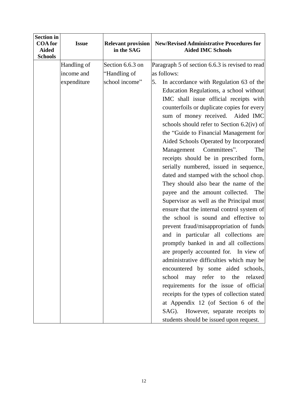| <b>Section in</b><br><b>COA</b> for<br><b>Aided</b><br><b>Schools</b> | <b>Issue</b> | <b>Relevant provision</b><br>in the SAG | <b>New/Revised Administrative Procedures for</b><br><b>Aided IMC Schools</b>                                                                                                                                                                                                                                                                                                                                                                                                                                                                                                                                                                                                                                                                                                                                                                                                                                                                                                                                                                                                                                                                                                                                           |
|-----------------------------------------------------------------------|--------------|-----------------------------------------|------------------------------------------------------------------------------------------------------------------------------------------------------------------------------------------------------------------------------------------------------------------------------------------------------------------------------------------------------------------------------------------------------------------------------------------------------------------------------------------------------------------------------------------------------------------------------------------------------------------------------------------------------------------------------------------------------------------------------------------------------------------------------------------------------------------------------------------------------------------------------------------------------------------------------------------------------------------------------------------------------------------------------------------------------------------------------------------------------------------------------------------------------------------------------------------------------------------------|
|                                                                       | Handling of  | Section 6.6.3 on                        | Paragraph 5 of section 6.6.3 is revised to read                                                                                                                                                                                                                                                                                                                                                                                                                                                                                                                                                                                                                                                                                                                                                                                                                                                                                                                                                                                                                                                                                                                                                                        |
|                                                                       | income and   | "Handling of                            | as follows:                                                                                                                                                                                                                                                                                                                                                                                                                                                                                                                                                                                                                                                                                                                                                                                                                                                                                                                                                                                                                                                                                                                                                                                                            |
|                                                                       | expenditure  | school income"                          | 5.<br>In accordance with Regulation 63 of the<br>Education Regulations, a school without<br>IMC shall issue official receipts with<br>counterfoils or duplicate copies for every<br>sum of money received. Aided IMC<br>schools should refer to Section $6.2$ (iv) of<br>the "Guide to Financial Management for<br>Aided Schools Operated by Incorporated<br>Management<br>Committees".<br>The<br>receipts should be in prescribed form,<br>serially numbered, issued in sequence,<br>dated and stamped with the school chop.<br>They should also bear the name of the<br>payee and the amount collected.<br>The<br>Supervisor as well as the Principal must<br>ensure that the internal control system of<br>the school is sound and effective to<br>prevent fraud/misappropriation of funds<br>and in particular all collections are<br>promptly banked in and all collections<br>are properly accounted for. In view of<br>administrative difficulties which may be<br>encountered by some aided schools,<br>school may refer to the relaxed<br>requirements for the issue of official<br>receipts for the types of collection stated<br>at Appendix 12 (of Section 6 of the<br>SAG). However, separate receipts to |
|                                                                       |              |                                         | students should be issued upon request.                                                                                                                                                                                                                                                                                                                                                                                                                                                                                                                                                                                                                                                                                                                                                                                                                                                                                                                                                                                                                                                                                                                                                                                |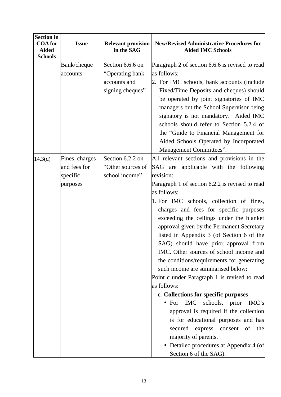| <b>Section in</b><br><b>COA</b> for<br><b>Aided</b><br><b>Schools</b> | <b>Issue</b>                                           | <b>Relevant provision</b><br>in the SAG                                 | <b>New/Revised Administrative Procedures for</b><br><b>Aided IMC Schools</b>                                                                                                                                                                                                                                                                                                                                                                                                                                                                                                                                                                                                                                                                                                                                                                                                                                                   |
|-----------------------------------------------------------------------|--------------------------------------------------------|-------------------------------------------------------------------------|--------------------------------------------------------------------------------------------------------------------------------------------------------------------------------------------------------------------------------------------------------------------------------------------------------------------------------------------------------------------------------------------------------------------------------------------------------------------------------------------------------------------------------------------------------------------------------------------------------------------------------------------------------------------------------------------------------------------------------------------------------------------------------------------------------------------------------------------------------------------------------------------------------------------------------|
|                                                                       | Bank/cheque<br>accounts                                | Section 6.6.6 on<br>"Operating bank<br>accounts and<br>signing cheques" | Paragraph 2 of section 6.6.6 is revised to read<br>as follows:<br>2. For IMC schools, bank accounts (include<br>Fixed/Time Deposits and cheques) should<br>be operated by joint signatories of IMC<br>managers but the School Supervisor being<br>signatory is not mandatory. Aided IMC<br>schools should refer to Section 5.2.4 of<br>the "Guide to Financial Management for<br>Aided Schools Operated by Incorporated<br>Management Committees".                                                                                                                                                                                                                                                                                                                                                                                                                                                                             |
| 14.3(d)                                                               | Fines, charges<br>and fees for<br>specific<br>purposes | Section 6.2.2 on<br>"Other sources of<br>school income"                 | All relevant sections and provisions in the<br>SAG are applicable with the following<br>revision:<br>Paragraph 1 of section 6.2.2 is revised to read<br>as follows:<br>1. For IMC schools, collection of fines,<br>charges and fees for specific purposes<br>exceeding the ceilings under the blanket<br>approval given by the Permanent Secretary<br>listed in Appendix 3 (of Section 6 of the<br>SAG) should have prior approval from<br>IMC. Other sources of school income and<br>the conditions/requirements for generating<br>such income are summarised below:<br>Point c under Paragraph 1 is revised to read<br>as follows:<br>c. Collections for specific purposes<br>IMC schools, prior<br>IMC's<br>$\bullet$ For<br>approval is required if the collection<br>is for educational purposes and has<br>express<br>consent<br>of<br>secured<br>the<br>majority of parents.<br>• Detailed procedures at Appendix 4 (of |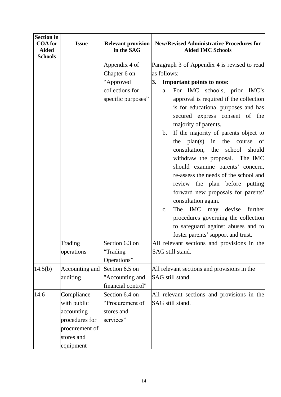| <b>Section in</b>                                |                              |                                         |                                                                              |
|--------------------------------------------------|------------------------------|-----------------------------------------|------------------------------------------------------------------------------|
| <b>COA</b> for<br><b>Aided</b><br><b>Schools</b> | <b>Issue</b>                 | <b>Relevant provision</b><br>in the SAG | <b>New/Revised Administrative Procedures for</b><br><b>Aided IMC Schools</b> |
|                                                  |                              | Appendix 4 of                           | Paragraph 3 of Appendix 4 is revised to read                                 |
|                                                  |                              | Chapter 6 on                            | as follows:                                                                  |
|                                                  |                              | "Approved                               | Important points to note:<br>3.                                              |
|                                                  |                              | collections for                         | For IMC schools, prior IMC's<br>a.                                           |
|                                                  |                              | specific purposes"                      | approval is required if the collection                                       |
|                                                  |                              |                                         | is for educational purposes and has                                          |
|                                                  |                              |                                         | secured express consent of the                                               |
|                                                  |                              |                                         | majority of parents.                                                         |
|                                                  |                              |                                         | If the majority of parents object to<br>b.                                   |
|                                                  |                              |                                         | plan(s)<br>the<br>in<br>course<br>the<br>of                                  |
|                                                  |                              |                                         | consultation, the<br>school<br>should                                        |
|                                                  |                              |                                         | withdraw the proposal. The IMC                                               |
|                                                  |                              |                                         | should examine parents' concern,                                             |
|                                                  |                              |                                         | re-assess the needs of the school and                                        |
|                                                  |                              |                                         | review the plan before putting                                               |
|                                                  |                              |                                         | forward new proposals for parents'                                           |
|                                                  |                              |                                         | consultation again.                                                          |
|                                                  |                              |                                         | The IMC<br>may devise<br>further<br>$\mathbf{c}$ .                           |
|                                                  |                              |                                         | procedures governing the collection                                          |
|                                                  |                              |                                         | to safeguard against abuses and to                                           |
|                                                  |                              |                                         | foster parents' support and trust.                                           |
|                                                  | Trading                      | Section 6.3 on                          | All relevant sections and provisions in the                                  |
|                                                  | operations                   | "Trading                                | SAG still stand.                                                             |
|                                                  |                              | Operations"                             |                                                                              |
| 14.5(b)                                          | Accounting and               | Section 6.5 on                          | All relevant sections and provisions in the                                  |
|                                                  | auditing                     | "Accounting and                         | SAG still stand.                                                             |
| 14.6                                             |                              | financial control"                      |                                                                              |
|                                                  | Compliance                   | Section 6.4 on<br>"Procurement of       | All relevant sections and provisions in the<br>SAG still stand.              |
|                                                  | with public                  |                                         |                                                                              |
|                                                  | accounting<br>procedures for | stores and<br>services"                 |                                                                              |
|                                                  | procurement of               |                                         |                                                                              |
|                                                  | stores and                   |                                         |                                                                              |
|                                                  | equipment                    |                                         |                                                                              |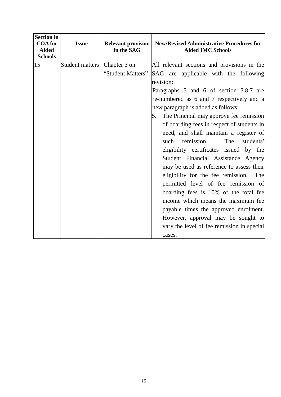| <b>Section in</b><br><b>COA</b> for<br><b>Aided</b><br><b>Schools</b> | <b>Issue</b>           | <b>Relevant provision</b><br>in the SAG | <b>New/Revised Administrative Procedures for</b><br><b>Aided IMC Schools</b>                                                                                                                                                                                                                                                                                                                                                                                                                                                                                                                                                                                                                                                                                                                                                                           |
|-----------------------------------------------------------------------|------------------------|-----------------------------------------|--------------------------------------------------------------------------------------------------------------------------------------------------------------------------------------------------------------------------------------------------------------------------------------------------------------------------------------------------------------------------------------------------------------------------------------------------------------------------------------------------------------------------------------------------------------------------------------------------------------------------------------------------------------------------------------------------------------------------------------------------------------------------------------------------------------------------------------------------------|
| 15                                                                    | <b>Student matters</b> | Chapter 3 on<br>"Student Matters"       | All relevant sections and provisions in the<br>SAG are applicable with the following<br>revision:<br>Paragraphs 5 and 6 of section 3.8.7 are<br>re-numbered as 6 and 7 respectively and a<br>new paragraph is added as follows:<br>The Principal may approve fee remission<br>5.<br>of boarding fees in respect of students in<br>need, and shall maintain a register of<br>remission.<br>The<br>students'<br>such<br>eligibility certificates issued by the<br>Student Financial Assistance Agency<br>may be used as reference to assess their<br>eligibility for the fee remission. The<br>permitted level of fee remission of<br>boarding fees is 10% of the total fee<br>income which means the maximum fee<br>payable times the approved enrolment.<br>However, approval may be sought to<br>vary the level of fee remission in special<br>cases. |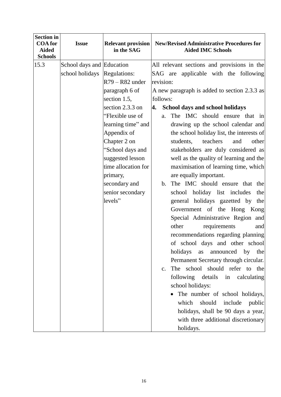| <b>Section in</b><br><b>COA</b> for<br><b>Aided</b> | <b>Issue</b>              | <b>Relevant provision</b><br>in the SAG | <b>New/Revised Administrative Procedures for</b><br><b>Aided IMC Schools</b> |
|-----------------------------------------------------|---------------------------|-----------------------------------------|------------------------------------------------------------------------------|
| <b>Schools</b>                                      |                           |                                         |                                                                              |
| 15.3                                                | School days and Education |                                         | All relevant sections and provisions in the                                  |
|                                                     | school holidays           | Regulations:                            | SAG are applicable with the following                                        |
|                                                     |                           | $R79 - R82$ under                       | revision:                                                                    |
|                                                     |                           | paragraph 6 of                          | A new paragraph is added to section 2.3.3 as                                 |
|                                                     |                           | section 1.5,                            | follows:                                                                     |
|                                                     |                           | section 2.3.3 on                        | 4. School days and school holidays                                           |
|                                                     |                           | "Flexible use of                        | The IMC should ensure that in<br>a.                                          |
|                                                     |                           | learning time" and                      | drawing up the school calendar and                                           |
|                                                     |                           | Appendix of                             | the school holiday list, the interests of                                    |
|                                                     |                           | Chapter 2 on                            | teachers<br>other<br>students,<br>and                                        |
|                                                     |                           | "School days and                        | stakeholders are duly considered as                                          |
|                                                     |                           | suggested lesson                        | well as the quality of learning and the                                      |
|                                                     |                           | time allocation for                     | maximisation of learning time, which                                         |
|                                                     |                           | primary,                                | are equally important.                                                       |
|                                                     |                           | secondary and                           | The IMC should ensure that the<br>b.                                         |
|                                                     |                           | senior secondary                        | school holiday list includes<br>the                                          |
|                                                     |                           | levels"                                 | general holidays gazetted by the                                             |
|                                                     |                           |                                         | Government of the Hong Kong                                                  |
|                                                     |                           |                                         | Special Administrative Region and<br>other<br>requirements<br>and            |
|                                                     |                           |                                         | recommendations regarding planning                                           |
|                                                     |                           |                                         | of school days and other school                                              |
|                                                     |                           |                                         | holidays<br>announced<br>by<br>as<br>the                                     |
|                                                     |                           |                                         | Permanent Secretary through circular.                                        |
|                                                     |                           |                                         | The school should refer to the<br>$\mathbf{c}$ .                             |
|                                                     |                           |                                         | following details in calculating                                             |
|                                                     |                           |                                         | school holidays:                                                             |
|                                                     |                           |                                         | The number of school holidays,                                               |
|                                                     |                           |                                         | which<br>should include public                                               |
|                                                     |                           |                                         | holidays, shall be 90 days a year,                                           |
|                                                     |                           |                                         | with three additional discretionary                                          |
|                                                     |                           |                                         | holidays.                                                                    |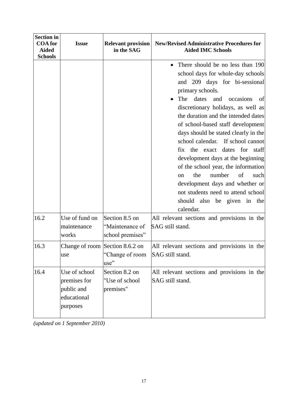| <b>Section in</b><br><b>COA</b> for<br><b>Aided</b><br><b>Schools</b> | <b>Issue</b>                                                           | <b>Relevant provision</b><br>in the SAG               | <b>New/Revised Administrative Procedures for</b><br><b>Aided IMC Schools</b>                                                                                                                                                                                                                                                                                                                                                                                                                                                                                                                                                                     |
|-----------------------------------------------------------------------|------------------------------------------------------------------------|-------------------------------------------------------|--------------------------------------------------------------------------------------------------------------------------------------------------------------------------------------------------------------------------------------------------------------------------------------------------------------------------------------------------------------------------------------------------------------------------------------------------------------------------------------------------------------------------------------------------------------------------------------------------------------------------------------------------|
|                                                                       |                                                                        |                                                       | There should be no less than 190<br>school days for whole-day schools<br>and 209 days for bi-sessional<br>primary schools.<br>The<br>dates<br>and<br>occasions<br>of<br>discretionary holidays, as well as<br>the duration and the intended dates<br>of school-based staff development<br>days should be stated clearly in the<br>school calendar.<br>If school cannot<br>dates for staff<br>fix the exact<br>development days at the beginning<br>of the school year, the information<br>the<br>number<br>of<br>such<br>on<br>development days and whether or<br>not students need to attend school<br>should also be given in the<br>calendar. |
| 16.2                                                                  | Use of fund on<br>maintenance<br>works                                 | Section 8.5 on<br>"Maintenance of<br>school premises" | All relevant sections and provisions in the<br>SAG still stand.                                                                                                                                                                                                                                                                                                                                                                                                                                                                                                                                                                                  |
| 16.3                                                                  | Change of room Section 8.6.2 on<br>use                                 | "Change of room<br>use"                               | All relevant sections and provisions in the<br>SAG still stand.                                                                                                                                                                                                                                                                                                                                                                                                                                                                                                                                                                                  |
| 16.4                                                                  | Use of school<br>premises for<br>public and<br>educational<br>purposes | Section 8.2 on<br>"Use of school<br>premises"         | All relevant sections and provisions in the<br>SAG still stand.                                                                                                                                                                                                                                                                                                                                                                                                                                                                                                                                                                                  |

*(updated on 1 September 2010)*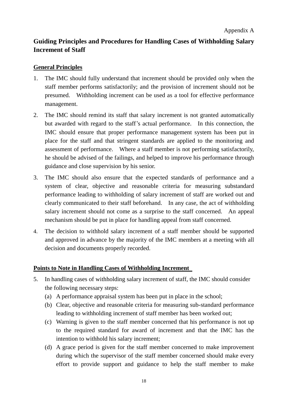# <span id="page-19-0"></span>**Guiding Principles and Procedures for Handling Cases of Withholding Salary Increment of Staff**

#### **General Principles**

- 1. The IMC should fully understand that increment should be provided only when the staff member performs satisfactorily; and the provision of increment should not be presumed. Withholding increment can be used as a tool for effective performance management.
- 2. The IMC should remind its staff that salary increment is not granted automatically but awarded with regard to the staff's actual performance. In this connection, the IMC should ensure that proper performance management system has been put in place for the staff and that stringent standards are applied to the monitoring and assessment of performance. Where a staff member is not performing satisfactorily, he should be advised of the failings, and helped to improve his performance through guidance and close supervision by his senior.
- 3. The IMC should also ensure that the expected standards of performance and a system of clear, objective and reasonable criteria for measuring substandard performance leading to withholding of salary increment of staff are worked out and clearly communicated to their staff beforehand. In any case, the act of withholding salary increment should not come as a surprise to the staff concerned. An appeal mechanism should be put in place for handling appeal from staff concerned.
- 4. The decision to withhold salary increment of a staff member should be supported and approved in advance by the majority of the IMC members at a meeting with all decision and documents properly recorded.

#### **Points to Note in Handling Cases of Withholding Increment**

- 5. In handling cases of withholding salary increment of staff, the IMC should consider the following necessary steps:
	- (a) A performance appraisal system has been put in place in the school;
	- (b) Clear, objective and reasonable criteria for measuring sub-standard performance leading to withholding increment of staff member has been worked out;
	- (c) Warning is given to the staff member concerned that his performance is not up to the required standard for award of increment and that the IMC has the intention to withhold his salary increment;
	- (d) A grace period is given for the staff member concerned to make improvement during which the supervisor of the staff member concerned should make every effort to provide support and guidance to help the staff member to make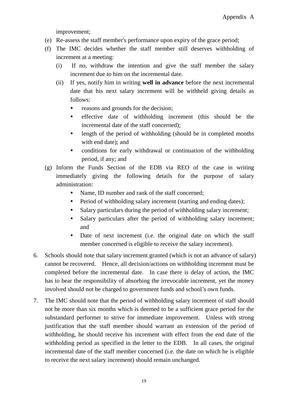improvement;

- (e) Re-assess the staff member's performance upon expiry of the grace period;
- (f) The IMC decides whether the staff member still deserves withholding of increment at a meeting:
	- (i) If no, withdraw the intention and give the staff member the salary increment due to him on the incremental date.
	- (ii) If yes, notify him in writing **well in advance** before the next incremental date that his next salary increment will be withheld giving details as follows:
		- reasons and grounds for the decision;
		- effective date of withholding increment (this should be the incremental date of the staff concerned);
		- length of the period of withholding (should be in completed months with end date); and
		- conditions for early withdrawal or continuation of the withholding period, if any; and
- (g) Inform the Funds Section of the EDB via REO of the case in writing immediately giving the following details for the purpose of salary administration:
	- Name, ID number and rank of the staff concerned;
	- Period of withholding salary increment (starting and ending dates);
	- Salary particulars during the period of withholding salary increment;
	- Salary particulars after the period of withholding salary increment; and
	- Date of next increment (i.e. the original date on which the staff member concerned is eligible to receive the salary increment).
- 6. Schools should note that salary increment granted (which is not an advance of salary) cannot be recovered. Hence, all decision/actions on withholding increment must be completed before the incremental date. In case there is delay of action, the IMC has to bear the responsibility of absorbing the irrevocable increment, yet the money involved should not be charged to government funds and school's own funds.
- 7. The IMC should note that the period of withholding salary increment of staff should not be more than six months which is deemed to be a sufficient grace period for the substandard performer to strive for immediate improvement. Unless with strong justification that the staff member should warrant an extension of the period of withholding, he should receive his increment with effect from the end date of the withholding period as specified in the letter to the EDB. In all cases, the original incremental date of the staff member concerned (i.e. the date on which he is eligible to receive the next salary increment) should remain unchanged.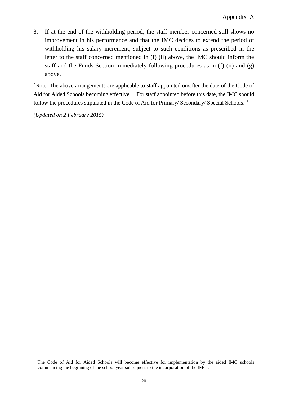8. If at the end of the withholding period, the staff member concerned still shows no improvement in his performance and that the IMC decides to extend the period of withholding his salary increment, subject to such conditions as prescribed in the letter to the staff concerned mentioned in (f) (ii) above, the IMC should inform the staff and the Funds Section immediately following procedures as in (f) (ii) and (g) above.

[Note: The above arrangements are applicable to staff appointed on/after the date of the Code of Aid for Aided Schools becoming effective. For staff appointed before this date, the IMC should follow the procedures stipulated in the Code of Aid for Primary/ Secondary/ Special Schools.]<sup>1</sup>

*(Updated on 2 February 2015)*

 $\overline{a}$ 

<sup>&</sup>lt;sup>1</sup> The Code of Aid for Aided Schools will become effective for implementation by the aided IMC schools commencing the beginning of the school year subsequent to the incorporation of the IMCs.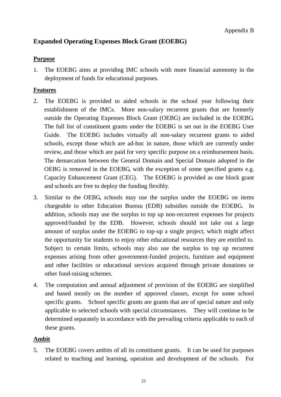## <span id="page-22-0"></span>**Expanded Operating Expenses Block Grant (EOEBG)**

#### **Purpose**

1. The EOEBG aims at providing IMC schools with more financial autonomy in the deployment of funds for educational purposes.

#### **Features**

- 2. The EOEBG is provided to aided schools in the school year following their establishment of the IMCs. More non-salary recurrent grants that are formerly outside the Operating Expenses Block Grant (OEBG) are included in the EOEBG. The full list of constituent grants under the EOEBG is set out in the EOEBG User Guide. The EOEBG includes virtually all non-salary recurrent grants to aided schools, except those which are ad-hoc in nature, those which are currently under review, and those which are paid for very specific purpose on a reimbursement basis. The demarcation between the General Domain and Special Domain adopted in the OEBG is removed in the EOEBG, with the exception of some specified grants e.g. Capacity Enhancement Grant (CEG). The EOEBG is provided as one block grant and schools are free to deploy the funding flexibly.
- 3. Similar to the OEBG, schools may use the surplus under the EOEBG on items chargeable to other Education Bureau (EDB) subsidies outside the EOEBG. In addition, schools may use the surplus to top up non-recurrent expenses for projects approved/funded by the EDB. However, schools should not take out a large amount of surplus under the EOEBG to top-up a single project, which might affect the opportunity for students to enjoy other educational resources they are entitled to. Subject to certain limits, schools may also use the surplus to top up recurrent expenses arising from other government-funded projects, furniture and equipment and other facilities or educational services acquired through private donations or other fund-raising schemes.
- 4. The computation and annual adjustment of provision of the EOEBG are simplified and based mostly on the number of approved classes, except for some school specific grants. School specific grants are grants that are of special nature and only applicable to selected schools with special circumstances. They will continue to be determined separately in accordance with the prevailing criteria applicable to each of these grants.

#### **Ambit**

5. The EOEBG covers ambits of all its constituent grants. It can be used for purposes related to teaching and learning, operation and development of the schools. For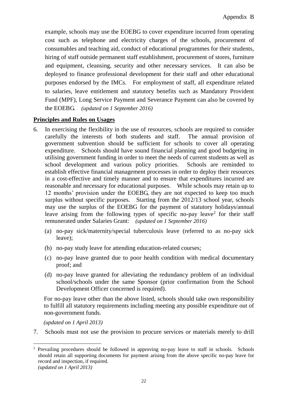example, schools may use the EOEBG to cover expenditure incurred from operating cost such as telephone and electricity charges of the schools, procurement of consumables and teaching aid, conduct of educational programmes for their students, hiring of staff outside permanent staff establishment, procurement of stores, furniture and equipment, cleansing, security and other necessary services. It can also be deployed to finance professional development for their staff and other educational purposes endorsed by the IMCs. For employment of staff, all expenditure related to salaries, leave entitlement and statutory benefits such as Mandatory Provident Fund (MPF), Long Service Payment and Severance Payment can also be covered by the EOEBG. *(updated on 1 September 2016)*

#### **Principles and Rules on Usages**

- 6. In exercising the flexibility in the use of resources, schools are required to consider carefully the interests of both students and staff. The annual provision of government subvention should be sufficient for schools to cover all operating expenditure. Schools should have sound financial planning and good budgeting in utilising government funding in order to meet the needs of current students as well as school development and various policy priorities. Schools are reminded to establish effective financial management processes in order to deploy their resources in a cost-effective and timely manner and to ensure that expenditures incurred are reasonable and necessary for educational purposes. While schools may retain up to 12 months' provision under the EOEBG, they are not expected to keep too much surplus without specific purposes. Starting from the 2012/13 school year, schools may use the surplus of the EOEBG for the payment of statutory holidays/annual leave arising from the following types of specific no-pay leave<sup>2</sup> for their staff remunerated under Salaries Grant: *(updated on 1 September 2016)*
	- (a) no-pay sick/maternity/special tuberculosis leave (referred to as no-pay sick leave);
	- (b) no-pay study leave for attending education-related courses;
	- (c) no-pay leave granted due to poor health condition with medical documentary proof; and
	- (d) no-pay leave granted for alleviating the redundancy problem of an individual school/schools under the same Sponsor (prior confirmation from the School Development Officer concerned is required).

For no-pay leave other than the above listed, schools should take own responsibility to fulfill all statutory requirements including meeting any possible expenditure out of non-government funds.

*(updated on 1 April 2013)*

 $\overline{a}$ 

7. Schools must not use the provision to procure services or materials merely to drill

<sup>&</sup>lt;sup>2</sup> Prevailing procedures should be followed in approving no-pay leave to staff in schools. Schools should retain all supporting documents for payment arising from the above specific no-pay leave for record and inspection, if required. *(updated on 1 April 2013)*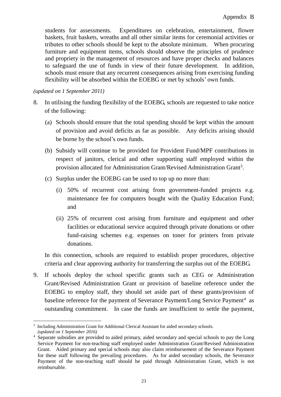students for assessments. Expenditures on celebration, entertainment, flower baskets, fruit baskets, wreaths and all other similar items for ceremonial activities or tributes to other schools should be kept to the absolute minimum. When procuring furniture and equipment items, schools should observe the principles of prudence and propriety in the management of resources and have proper checks and balances to safeguard the use of funds in view of their future development. In addition, schools must ensure that any recurrent consequences arising from exercising funding flexibility will be absorbed within the EOEBG or met by schools' own funds.

*(updated on 1 September 2011)*

- 8. In utilising the funding flexibility of the EOEBG, schools are requested to take notice of the following:
	- (a) Schools should ensure that the total spending should be kept within the amount of provision and avoid deficits as far as possible. Any deficits arising should be borne by the school's own funds.
	- (b) Subsidy will continue to be provided for Provident Fund/MPF contributions in respect of janitors, clerical and other supporting staff employed within the provision allocated for Administration Grant/Revised Administration Grant<sup>3</sup>.
	- (c) Surplus under the EOEBG can be used to top up no more than:
		- (i) 50% of recurrent cost arising from government-funded projects e.g. maintenance fee for computers bought with the Quality Education Fund; and
		- (ii) 25% of recurrent cost arising from furniture and equipment and other facilities or educational service acquired through private donations or other fund-raising schemes e.g. expenses on toner for printers from private donations.

In this connection, schools are required to establish proper procedures, objective criteria and clear approving authority for transferring the surplus out of the EOEBG.

9. If schools deploy the school specific grants such as CEG or Administration Grant/Revised Administration Grant or provision of baseline reference under the EOEBG to employ staff, they should set aside part of these grants/provision of baseline reference for the payment of Severance Payment/Long Service Payment<sup>4</sup> as outstanding commitment. In case the funds are insufficient to settle the payment,

 $\overline{a}$ 3 Including Administration Grant for Additional Clerical Assistant for aided secondary schools. *(updated on 1 September 2016)*

<sup>4</sup> Separate subsidies are provided to aided primary, aided secondary and special schools to pay the Long Service Payment for non-teaching staff employed under Administration Grant/Revised Administration Grant. Aided primary and special schools may also claim reimbursement of the Severance Payment for these staff following the prevailing procedures. As for aided secondary schools, the Severance Payment of the non-teaching staff should be paid through Administration Grant, which is not reimbursable.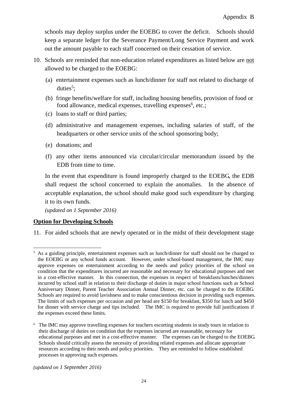schools may deploy surplus under the EOEBG to cover the deficit. Schools should keep a separate ledger for the Severance Payment/Long Service Payment and work out the amount payable to each staff concerned on their cessation of service.

- 10. Schools are reminded that non-education related expenditures as listed below are not allowed to be charged to the EOEBG:
	- (a) entertainment expenses such as lunch/dinner for staff not related to discharge of duties<sup>5</sup>;
	- (b) fringe benefits/welfare for staff, including housing benefits, provision of food or food allowance, medical expenses, travelling expenses<sup>6</sup>, etc.;
	- (c) loans to staff or third parties;
	- (d) administrative and management expenses, including salaries of staff, of the headquarters or other service units of the school sponsoring body;
	- (e) donations; and
	- (f) any other items announced via circular/circular memorandum issued by the EDB from time to time.

In the event that expenditure is found improperly charged to the EOEBG, the EDB shall request the school concerned to explain the anomalies. In the absence of acceptable explanation, the school should make good such expenditure by charging it to its own funds.

*(updated on 1 September 2016)*

#### **Option for Developing Schools**

 $\overline{a}$ 

11. For aided schools that are newly operated or in the midst of their development stage

*(updated on 1 September 2016)*

<sup>&</sup>lt;sup>5</sup> As a guiding principle, entertainment expenses such as lunch/dinner for staff should not be charged to the EOEBG or any school funds account. However, under school-based management, the IMC may approve expenses on entertainment according to the needs and policy priorities of the school on condition that the expenditures incurred are reasonable and necessary for educational purposes and met in a cost-effective manner. In this connection, the expenses in respect of breakfasts/lunches/dinners incurred by school staff in relation to their discharge of duties in major school functions such as School Anniversary Dinner, Parent Teacher Association Annual Dinner, etc. can be charged to the EOEBG. Schools are required to avoid lavishness and to make conscientious decision in providing such expenses. The limits of such expenses per occasion and per head are \$150 for breakfast, \$350 for lunch and \$450 for dinner with service charge and tips included. The IMC is required to provide full justifications if the expenses exceed these limits.

<sup>6</sup> The IMC may approve travelling expenses for teachers escorting students in study tours in relation to their discharge of duties on condition that the expenses incurred are reasonable, necessary for educational purposes and met in a cost-effective manner. The expenses can be charged to the EOEBG. Schools should critically assess the necessity of providing related expenses and allocate appropriate resources according to their needs and policy priorities. They are reminded to follow established processes in approving such expenses.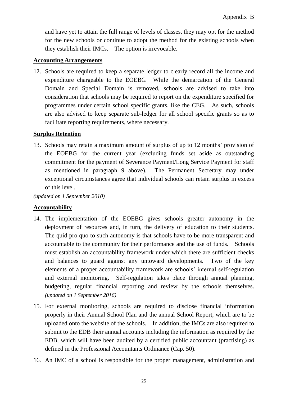and have yet to attain the full range of levels of classes, they may opt for the method for the new schools or continue to adopt the method for the existing schools when they establish their IMCs. The option is irrevocable.

#### **Accounting Arrangements**

12. Schools are required to keep a separate ledger to clearly record all the income and expenditure chargeable to the EOEBG. While the demarcation of the General Domain and Special Domain is removed, schools are advised to take into consideration that schools may be required to report on the expenditure specified for programmes under certain school specific grants, like the CEG. As such, schools are also advised to keep separate sub-ledger for all school specific grants so as to facilitate reporting requirements, where necessary.

#### **Surplus Retention**

13. Schools may retain a maximum amount of surplus of up to 12 months' provision of the EOEBG for the current year (excluding funds set aside as outstanding commitment for the payment of Severance Payment/Long Service Payment for staff as mentioned in paragraph 9 above). The Permanent Secretary may under exceptional circumstances agree that individual schools can retain surplus in excess of this level.

*(updated on 1 September 2010)*

#### **Accountability**

- 14. The implementation of the EOEBG gives schools greater autonomy in the deployment of resources and, in turn, the delivery of education to their students. The quid pro quo to such autonomy is that schools have to be more transparent and accountable to the community for their performance and the use of funds. Schools must establish an accountability framework under which there are sufficient checks and balances to guard against any untoward developments. Two of the key elements of a proper accountability framework are schools' internal self-regulation and external monitoring. Self-regulation takes place through annual planning, budgeting, regular financial reporting and review by the schools themselves. *(updated on 1 September 2016)*
- 15. For external monitoring, schools are required to disclose financial information properly in their Annual School Plan and the annual School Report, which are to be uploaded onto the website of the schools. In addition, the IMCs are also required to submit to the EDB their annual accounts including the information as required by the EDB, which will have been audited by a certified public accountant (practising) as defined in the Professional Accountants Ordinance (Cap. 50).
- 16. An IMC of a school is responsible for the proper management, administration and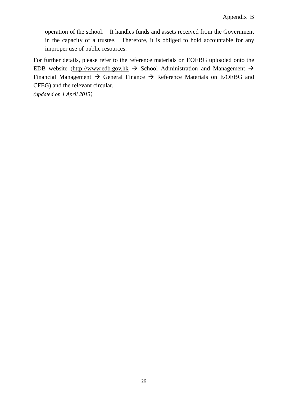operation of the school. It handles funds and assets received from the Government in the capacity of a trustee. Therefore, it is obliged to hold accountable for any improper use of public resources.

For further details, please refer to the reference materials on EOEBG uploaded onto the EDB website [\(http://www.edb.gov.hk](http://www.edb.gov.hk/)  $\rightarrow$  School Administration and Management  $\rightarrow$ Financial Management  $\rightarrow$  General Finance  $\rightarrow$  Reference Materials on E/OEBG and CFEG) and the relevant circular.

*(updated on 1 April 2013)*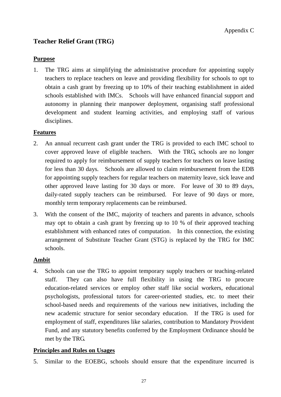## <span id="page-28-0"></span>**Teacher Relief Grant (TRG)**

#### **Purpose**

1. The TRG aims at simplifying the administrative procedure for appointing supply teachers to replace teachers on leave and providing flexibility for schools to opt to obtain a cash grant by freezing up to 10% of their teaching establishment in aided schools established with IMCs. Schools will have enhanced financial support and autonomy in planning their manpower deployment, organising staff professional development and student learning activities, and employing staff of various disciplines.

#### **Features**

- 2. An annual recurrent cash grant under the TRG is provided to each IMC school to cover approved leave of eligible teachers. With the TRG, schools are no longer required to apply for reimbursement of supply teachers for teachers on leave lasting for less than 30 days. Schools are allowed to claim reimbursement from the EDB for appointing supply teachers for regular teachers on maternity leave, sick leave and other approved leave lasting for 30 days or more. For leave of 30 to 89 days, daily-rated supply teachers can be reimbursed. For leave of 90 days or more, monthly term temporary replacements can be reimbursed.
- 3. With the consent of the IMC, majority of teachers and parents in advance, schools may opt to obtain a cash grant by freezing up to 10 % of their approved teaching establishment with enhanced rates of computation. In this connection, the existing arrangement of Substitute Teacher Grant (STG) is replaced by the TRG for IMC schools.

#### **Ambit**

4. Schools can use the TRG to appoint temporary supply teachers or teaching-related staff. They can also have full flexibility in using the TRG to procure education-related services or employ other staff like social workers, educational psychologists, professional tutors for career-oriented studies, etc. to meet their school-based needs and requirements of the various new initiatives, including the new academic structure for senior secondary education. If the TRG is used for employment of staff, expenditures like salaries, contribution to Mandatory Provident Fund, and any statutory benefits conferred by the Employment Ordinance should be met by the TRG.

#### **Principles and Rules on Usages**

5. Similar to the EOEBG, schools should ensure that the expenditure incurred is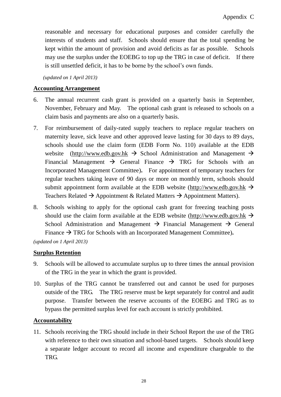reasonable and necessary for educational purposes and consider carefully the interests of students and staff. Schools should ensure that the total spending be kept within the amount of provision and avoid deficits as far as possible. Schools may use the surplus under the EOEBG to top up the TRG in case of deficit. If there is still unsettled deficit, it has to be borne by the school's own funds.

*(updated on 1 April 2013)*

#### **Accounting Arrangement**

- 6. The annual recurrent cash grant is provided on a quarterly basis in September, November, February and May. The optional cash grant is released to schools on a claim basis and payments are also on a quarterly basis.
- 7. For reimbursement of daily-rated supply teachers to replace regular teachers on maternity leave, sick leave and other approved leave lasting for 30 days to 89 days, schools should use the claim form (EDB Form No. 110) available at the EDB website [\(http://www.edb.gov.hk](http://www.edb.gov.hk/)  $\rightarrow$  School Administration and Management  $\rightarrow$ Financial Management  $\rightarrow$  General Finance  $\rightarrow$  TRG for Schools with an Incorporated Management Committee)**.** For appointment of temporary teachers for regular teachers taking leave of 90 days or more on monthly term, schools should submit appointment form available at the EDB website [\(http://www.edb.gov.hk](http://www.edb.gov.hk/)  $\rightarrow$ Teachers Related  $\rightarrow$  Appointment & Related Matters  $\rightarrow$  Appointment Matters).
- 8. Schools wishing to apply for the optional cash grant for freezing teaching posts should use the claim form available at the EDB website [\(http://www.edb.gov.hk](http://www.edb.gov.hk/)  $\rightarrow$ School Administration and Management  $\rightarrow$  Financial Management  $\rightarrow$  General Finance  $\rightarrow$  TRG for Schools with an Incorporated Management Committee).

*(updated on 1 April 2013)*

#### **Surplus Retention**

- 9. Schools will be allowed to accumulate surplus up to three times the annual provision of the TRG in the year in which the grant is provided.
- 10. Surplus of the TRG cannot be transferred out and cannot be used for purposes outside of the TRG. The TRG reserve must be kept separately for control and audit purpose. Transfer between the reserve accounts of the EOEBG and TRG as to bypass the permitted surplus level for each account is strictly prohibited.

#### **Accountability**

11. Schools receiving the TRG should include in their School Report the use of the TRG with reference to their own situation and school-based targets. Schools should keep a separate ledger account to record all income and expenditure chargeable to the TRG.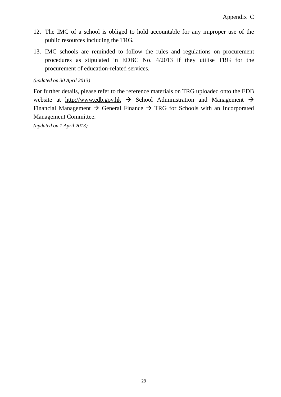- 12. The IMC of a school is obliged to hold accountable for any improper use of the public resources including the TRG.
- 13. IMC schools are reminded to follow the rules and regulations on procurement procedures as stipulated in EDBC No. 4/2013 if they utilise TRG for the procurement of education-related services.

#### *(updated on 30 April 2013)*

For further details, please refer to the reference materials on TRG uploaded onto the EDB website at [http://www.edb.gov.hk](http://www.edb.gov.hk/)  $\rightarrow$  School Administration and Management  $\rightarrow$ Financial Management  $\rightarrow$  General Finance  $\rightarrow$  TRG for Schools with an Incorporated Management Committee.

*(updated on 1 April 2013)*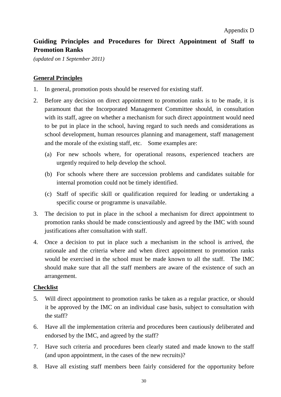# <span id="page-31-0"></span>**Guiding Principles and Procedures for Direct Appointment of Staff to Promotion Ranks**

*(updated on 1 September 2011)*

#### **General Principles**

- 1. In general, promotion posts should be reserved for existing staff.
- 2. Before any decision on direct appointment to promotion ranks is to be made, it is paramount that the Incorporated Management Committee should, in consultation with its staff, agree on whether a mechanism for such direct appointment would need to be put in place in the school, having regard to such needs and considerations as school development, human resources planning and management, staff management and the morale of the existing staff, etc. Some examples are:
	- (a) For new schools where, for operational reasons, experienced teachers are urgently required to help develop the school.
	- (b) For schools where there are succession problems and candidates suitable for internal promotion could not be timely identified.
	- (c) Staff of specific skill or qualification required for leading or undertaking a specific course or programme is unavailable.
- 3. The decision to put in place in the school a mechanism for direct appointment to promotion ranks should be made conscientiously and agreed by the IMC with sound justifications after consultation with staff.
- 4. Once a decision to put in place such a mechanism in the school is arrived, the rationale and the criteria where and when direct appointment to promotion ranks would be exercised in the school must be made known to all the staff. The IMC should make sure that all the staff members are aware of the existence of such an arrangement.

#### **Checklist**

- 5. Will direct appointment to promotion ranks be taken as a regular practice, or should it be approved by the IMC on an individual case basis, subject to consultation with the staff?
- 6. Have all the implementation criteria and procedures been cautiously deliberated and endorsed by the IMC, and agreed by the staff?
- 7. Have such criteria and procedures been clearly stated and made known to the staff (and upon appointment, in the cases of the new recruits)?
- 8. Have all existing staff members been fairly considered for the opportunity before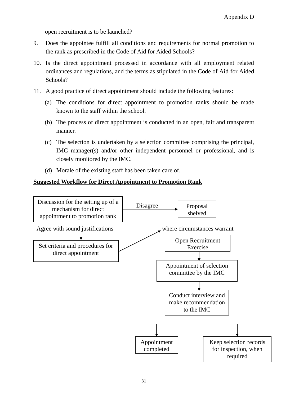open recruitment is to be launched?

- 9. Does the appointee fulfill all conditions and requirements for normal promotion to the rank as prescribed in the Code of Aid for Aided Schools?
- 10. Is the direct appointment processed in accordance with all employment related ordinances and regulations, and the terms as stipulated in the Code of Aid for Aided Schools?
- 11. A good practice of direct appointment should include the following features:
	- (a) The conditions for direct appointment to promotion ranks should be made known to the staff within the school.
	- (b) The process of direct appointment is conducted in an open, fair and transparent manner.
	- (c) The selection is undertaken by a selection committee comprising the principal, IMC manager(s) and/or other independent personnel or professional, and is closely monitored by the IMC.
	- (d) Morale of the existing staff has been taken care of.

#### **Suggested Workflow for Direct Appointment to Promotion Rank**

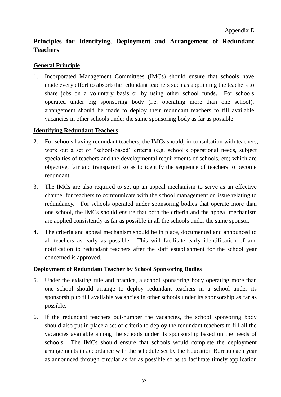## <span id="page-33-0"></span>**Principles for Identifying, Deployment and Arrangement of Redundant Teachers**

#### **General Principle**

1. Incorporated Management Committees (IMCs) should ensure that schools have made every effort to absorb the redundant teachers such as appointing the teachers to share jobs on a voluntary basis or by using other school funds. For schools operated under big sponsoring body (i.e. operating more than one school), arrangement should be made to deploy their redundant teachers to fill available vacancies in other schools under the same sponsoring body as far as possible.

#### **Identifying Redundant Teachers**

- 2. For schools having redundant teachers, the IMCs should, in consultation with teachers, work out a set of "school-based" criteria (e.g. school's operational needs, subject specialties of teachers and the developmental requirements of schools, etc) which are objective, fair and transparent so as to identify the sequence of teachers to become redundant.
- 3. The IMCs are also required to set up an appeal mechanism to serve as an effective channel for teachers to communicate with the school management on issue relating to redundancy. For schools operated under sponsoring bodies that operate more than one school, the IMCs should ensure that both the criteria and the appeal mechanism are applied consistently as far as possible in all the schools under the same sponsor.
- 4. The criteria and appeal mechanism should be in place, documented and announced to all teachers as early as possible. This will facilitate early identification of and notification to redundant teachers after the staff establishment for the school year concerned is approved.

#### **Deployment of Redundant Teacher by School Sponsoring Bodies**

- 5. Under the existing rule and practice, a school sponsoring body operating more than one school should arrange to deploy redundant teachers in a school under its sponsorship to fill available vacancies in other schools under its sponsorship as far as possible.
- 6. If the redundant teachers out-number the vacancies, the school sponsoring body should also put in place a set of criteria to deploy the redundant teachers to fill all the vacancies available among the schools under its sponsorship based on the needs of schools. The IMCs should ensure that schools would complete the deployment arrangements in accordance with the schedule set by the Education Bureau each year as announced through circular as far as possible so as to facilitate timely application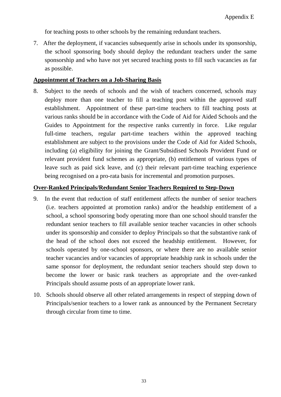for teaching posts to other schools by the remaining redundant teachers.

7. After the deployment, if vacancies subsequently arise in schools under its sponsorship, the school sponsoring body should deploy the redundant teachers under the same sponsorship and who have not yet secured teaching posts to fill such vacancies as far as possible.

#### **Appointment of Teachers on a Job-Sharing Basis**

8. Subject to the needs of schools and the wish of teachers concerned, schools may deploy more than one teacher to fill a teaching post within the approved staff establishment. Appointment of these part-time teachers to fill teaching posts at various ranks should be in accordance with the Code of Aid for Aided Schools and the Guides to Appointment for the respective ranks currently in force. Like regular full-time teachers, regular part-time teachers within the approved teaching establishment are subject to the provisions under the Code of Aid for Aided Schools, including (a) eligibility for joining the Grant/Subsidised Schools Provident Fund or relevant provident fund schemes as appropriate, (b) entitlement of various types of leave such as paid sick leave, and (c) their relevant part-time teaching experience being recognised on a pro-rata basis for incremental and promotion purposes.

#### **Over-Ranked Principals/Redundant Senior Teachers Required to Step-Down**

- 9. In the event that reduction of staff entitlement affects the number of senior teachers (i.e. teachers appointed at promotion ranks) and/or the headship entitlement of a school, a school sponsoring body operating more than one school should transfer the redundant senior teachers to fill available senior teacher vacancies in other schools under its sponsorship and consider to deploy Principals so that the substantive rank of the head of the school does not exceed the headship entitlement. However, for schools operated by one-school sponsors, or where there are no available senior teacher vacancies and/or vacancies of appropriate headship rank in schools under the same sponsor for deployment, the redundant senior teachers should step down to become the lower or basic rank teachers as appropriate and the over-ranked Principals should assume posts of an appropriate lower rank.
- 10. Schools should observe all other related arrangements in respect of stepping down of Principals/senior teachers to a lower rank as announced by the Permanent Secretary through circular from time to time.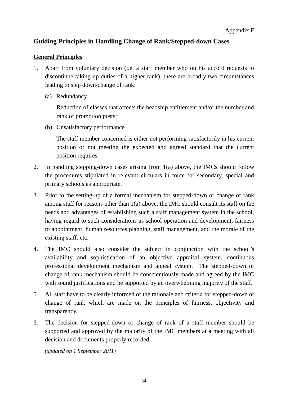## <span id="page-35-0"></span>**Guiding Principles in Handling Change of Rank/Stepped-down Cases**

#### **General Principles**

- 1. Apart from voluntary decision (i.e. a staff member who on his accord requests to discontinue taking up duties of a higher rank), there are broadly two circumstances leading to step down/change of rank:
	- (a) Redundancy

Reduction of classes that affects the headship entitlement and/or the number and rank of promotion posts;

(b) Unsatisfactory performance

The staff member concerned is either not performing satisfactorily in his current position or not meeting the expected and agreed standard that the current position requires.

- 2. In handling stepping-down cases arising from 1(a) above, the IMCs should follow the procedures stipulated in relevant circulars in force for secondary, special and primary schools as appropriate.
- 3. Prior to the setting-up of a formal mechanism for stepped-down or change of rank among staff for reasons other than 1(a) above, the IMC should consult its staff on the needs and advantages of establishing such a staff management system in the school, having regard to such considerations as school operation and development, fairness to appointment, human resources planning, staff management, and the morale of the existing staff, etc.
- 4. The IMC should also consider the subject in conjunction with the school's availability and sophistication of an objective appraisal system, continuous professional development mechanism and appeal system. The stepped-down or change of rank mechanism should be conscientiously made and agreed by the IMC with sound justifications and be supported by an overwhelming majority of the staff.
- 5. All staff have to be clearly informed of the rationale and criteria for stepped-down or change of rank which are made on the principles of fairness, objectivity and transparency.
- 6. The decision for stepped-down or change of rank of a staff member should be supported and approved by the majority of the IMC members at a meeting with all decision and documents properly recorded.

*(updated on 1 September 2011)*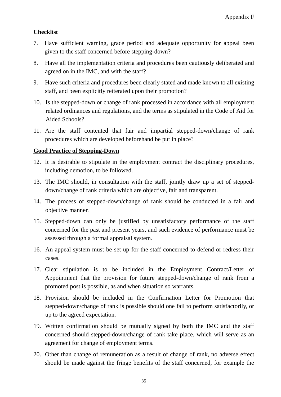#### **Checklist**

- 7. Have sufficient warning, grace period and adequate opportunity for appeal been given to the staff concerned before stepping-down?
- 8. Have all the implementation criteria and procedures been cautiously deliberated and agreed on in the IMC, and with the staff?
- 9. Have such criteria and procedures been clearly stated and made known to all existing staff, and been explicitly reiterated upon their promotion?
- 10. Is the stepped-down or change of rank processed in accordance with all employment related ordinances and regulations, and the terms as stipulated in the Code of Aid for Aided Schools?
- 11. Are the staff contented that fair and impartial stepped-down/change of rank procedures which are developed beforehand be put in place?

#### **Good Practice of Stepping-Down**

- 12. It is desirable to stipulate in the employment contract the disciplinary procedures, including demotion, to be followed.
- 13. The IMC should, in consultation with the staff, jointly draw up a set of steppeddown/change of rank criteria which are objective, fair and transparent.
- 14. The process of stepped-down/change of rank should be conducted in a fair and objective manner.
- 15. Stepped-down can only be justified by unsatisfactory performance of the staff concerned for the past and present years, and such evidence of performance must be assessed through a formal appraisal system.
- 16. An appeal system must be set up for the staff concerned to defend or redress their cases.
- 17. Clear stipulation is to be included in the Employment Contract/Letter of Appointment that the provision for future stepped-down/change of rank from a promoted post is possible, as and when situation so warrants.
- 18. Provision should be included in the Confirmation Letter for Promotion that stepped-down/change of rank is possible should one fail to perform satisfactorily, or up to the agreed expectation.
- 19. Written confirmation should be mutually signed by both the IMC and the staff concerned should stepped-down/change of rank take place, which will serve as an agreement for change of employment terms.
- 20. Other than change of remuneration as a result of change of rank, no adverse effect should be made against the fringe benefits of the staff concerned, for example the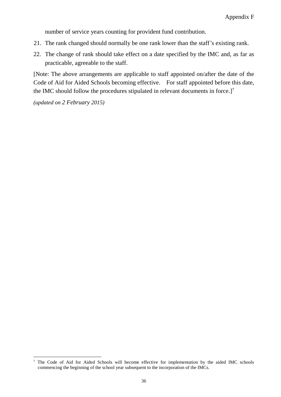number of service years counting for provident fund contribution.

- 21. The rank changed should normally be one rank lower than the staff's existing rank.
- 22. The change of rank should take effect on a date specified by the IMC and, as far as practicable, agreeable to the staff.

[Note: The above arrangements are applicable to staff appointed on/after the date of the Code of Aid for Aided Schools becoming effective. For staff appointed before this date, the IMC should follow the procedures stipulated in relevant documents in force.]<sup>7</sup>

*(updated on 2 February 2015)*

 $\overline{a}$ 

<sup>&</sup>lt;sup>7</sup> The Code of Aid for Aided Schools will become effective for implementation by the aided IMC schools commencing the beginning of the school year subsequent to the incorporation of the IMCs.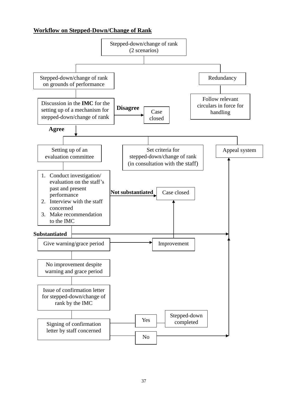#### **Workflow on Stepped-Down/Change of Rank**

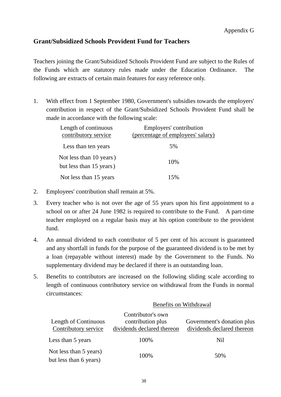### <span id="page-39-0"></span>**Grant/Subsidized Schools Provident Fund for Teachers**

Teachers joining the Grant/Subsidized Schools Provident Fund are subject to the Rules of the Funds which are statutory rules made under the Education Ordinance. The following are extracts of certain main features for easy reference only.

1. With effect from 1 September 1980, Government's subsidies towards the employers' contribution in respect of the Grant/Subsidized Schools Provident Fund shall be made in accordance with the following scale:

| Length of continuous<br>contributory service       | Employers' contribution<br>(percentage of employees' salary) |  |
|----------------------------------------------------|--------------------------------------------------------------|--|
| Less than ten years                                | 5%                                                           |  |
| Not less than 10 years)<br>but less than 15 years) | 10%                                                          |  |
| Not less than 15 years                             | 15%                                                          |  |

- 2. Employees' contribution shall remain at 5%.
- 3. Every teacher who is not over the age of 55 years upon his first appointment to a school on or after 24 June 1982 is required to contribute to the Fund. A part-time teacher employed on a regular basis may at his option contribute to the provident fund.
- 4. An annual dividend to each contributor of 5 per cent of his account is guaranteed and any shortfall in funds for the purpose of the guaranteed dividend is to be met by a loan (repayable without interest) made by the Government to the Funds. No supplementary dividend may be declared if there is an outstanding loan.
- 5. Benefits to contributors are increased on the following sliding scale according to length of continuous contributory service on withdrawal from the Funds in normal circumstances:

| Length of Continuous<br>Contributory service     | Contributor's own<br>contribution plus<br>dividends declared thereon | Government's donation plus<br>dividends declared thereon |
|--------------------------------------------------|----------------------------------------------------------------------|----------------------------------------------------------|
| Less than 5 years                                | 100%                                                                 | Nil                                                      |
| Not less than 5 years)<br>but less than 6 years) | 100%                                                                 | 50%                                                      |

Benefits on Withdrawal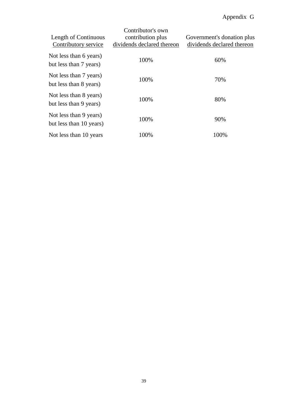# Appendix G

| Length of Continuous<br>Contributory service      | Contributor's own<br>contribution plus<br>dividends declared thereon | Government's donation plus<br>dividends declared thereon |
|---------------------------------------------------|----------------------------------------------------------------------|----------------------------------------------------------|
| Not less than 6 years)<br>but less than 7 years)  | 100%                                                                 | 60%                                                      |
| Not less than 7 years)<br>but less than 8 years)  | 100%                                                                 | 70%                                                      |
| Not less than 8 years)<br>but less than 9 years)  | 100%                                                                 | 80%                                                      |
| Not less than 9 years)<br>but less than 10 years) | 100%                                                                 | 90%                                                      |
| Not less than 10 years                            | 100%                                                                 | 100%                                                     |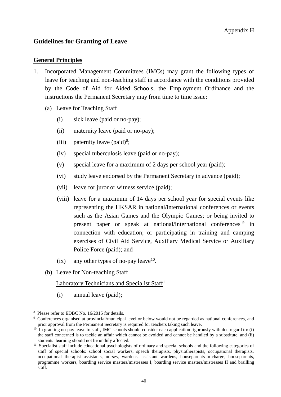#### <span id="page-41-0"></span>**Guidelines for Granting of Leave**

#### **General Principles**

- 1. Incorporated Management Committees (IMCs) may grant the following types of leave for teaching and non-teaching staff in accordance with the conditions provided by the Code of Aid for Aided Schools, the Employment Ordinance and the instructions the Permanent Secretary may from time to time issue:
	- (a) Leave for Teaching Staff
		- (i) sick leave (paid or no-pay);
		- (ii) maternity leave (paid or no-pay);
		- (iii) paternity leave  $(paid)^8$ ;
		- (iv) special tuberculosis leave (paid or no-pay);
		- (v) special leave for a maximum of 2 days per school year (paid);
		- (vi) study leave endorsed by the Permanent Secretary in advance (paid);
		- (vii) leave for juror or witness service (paid);
		- (viii) leave for a maximum of 14 days per school year for special events like representing the HKSAR in national/international conferences or events such as the Asian Games and the Olympic Games; or being invited to present paper or speak at national/international conferences<sup>9</sup> in connection with education; or participating in training and camping exercises of Civil Aid Service, Auxiliary Medical Service or Auxiliary Police Force (paid); and
		- $(ix)$  any other types of no-pay leave<sup>10</sup>.
	- (b) Leave for Non-teaching Staff

#### Laboratory Technicians and Specialist Staff<sup>11</sup>

(i) annual leave (paid);

 $\overline{a}$ <sup>8</sup> Please refer to EDBC No. 16/2015 for details.

<sup>9</sup> Conferences organised at provincial/municipal level or below would not be regarded as national conferences, and prior approval from the Permanent Secretary is required for teachers taking such leave.

 $10$  In granting no-pay leave to staff, IMC schools should consider each application rigorously with due regard to: (i) the staff concerned is to tackle an affair which cannot be avoided and cannot be handled by a substitute, and (ii) students' learning should not be unduly affected.

<sup>&</sup>lt;sup>11</sup> Specialist staff include educational psychologists of ordinary and special schools and the following categories of staff of special schools: school social workers, speech therapists, physiotherapists, occupational therapists, occupational therapist assistants, nurses, wardens, assistant wardens, houseparents-in-charge, houseparents, programme workers, boarding service masters/mistresses I, boarding service masters/mistresses II and brailling staff.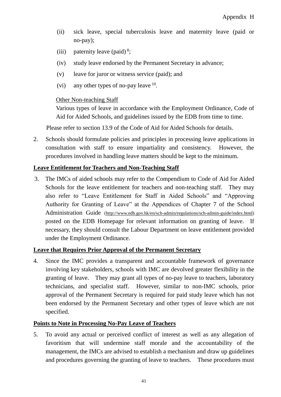- (ii) sick leave, special tuberculosis leave and maternity leave (paid or no-pay);
- (iii) paternity leave (paid)<sup>8</sup>;
- (iv) study leave endorsed by the Permanent Secretary in advance;
- (v) leave for juror or witness service (paid); and
- (vi) any other types of no-pay leave  $10$ .

#### Other Non-teaching Staff

Various types of leave in accordance with the Employment Ordinance, Code of Aid for Aided Schools, and guidelines issued by the EDB from time to time.

Please refer to section 13.9 of the Code of Aid for Aided Schools for details.

2. Schools should formulate policies and principles in processing leave applications in consultation with staff to ensure impartiality and consistency. However, the procedures involved in handling leave matters should be kept to the minimum.

#### **Leave Entitlement for Teachers and Non-Teaching Staff**

3. The IMCs of aided schools may refer to the Compendium to Code of Aid for Aided Schools for the leave entitlement for teachers and non-teaching staff. They may also refer to "Leave Entitlement for Staff in Aided Schools" and "Approving Authority for Granting of Leave" at the Appendices of Chapter 7 of the School Administration Guide [\(http://www.edb.gov.hk/en/sch-admin/regulations/sch-admin-guide/index.html\)](http://www.edb.gov.hk/en/sch-admin/regulations/sch-admin-guide/index.html) posted on the EDB Homepage for relevant information on granting of leave. If necessary, they should consult the Labour Department on leave entitlement provided under the Employment Ordinance.

#### **Leave that Requires Prior Approval of the Permanent Secretary**

4. Since the IMC provides a transparent and accountable framework of governance involving key stakeholders, schools with IMC are devolved greater flexibility in the granting of leave. They may grant all types of no-pay leave to teachers, laboratory technicians, and specialist staff. However, similar to non-IMC schools, prior approval of the Permanent Secretary is required for paid study leave which has not been endorsed by the Permanent Secretary and other types of leave which are not specified.

#### **Points to Note in Processing No-Pay Leave of Teachers**

5. To avoid any actual or perceived conflict of interest as well as any allegation of favoritism that will undermine staff morale and the accountability of the management, the IMCs are advised to establish a mechanism and draw up guidelines and procedures governing the granting of leave to teachers. These procedures must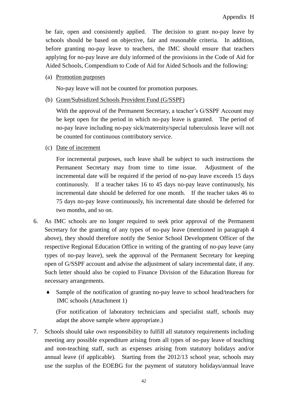be fair, open and consistently applied. The decision to grant no-pay leave by schools should be based on objective, fair and reasonable criteria. In addition, before granting no-pay leave to teachers, the IMC should ensure that teachers applying for no-pay leave are duly informed of the provisions in the Code of Aid for Aided Schools, Compendium to Code of Aid for Aided Schools and the following:

(a) Promotion purposes

No-pay leave will not be counted for promotion purposes.

(b) Grant/Subsidized Schools Provident Fund (G/SSPF)

With the approval of the Permanent Secretary, a teacher's G/SSPF Account may be kept open for the period in which no-pay leave is granted. The period of no-pay leave including no-pay sick/maternity/special tuberculosis leave will not be counted for continuous contributory service.

(c) Date of increment

For incremental purposes, such leave shall be subject to such instructions the Permanent Secretary may from time to time issue. Adjustment of the incremental date will be required if the period of no-pay leave exceeds 15 days continuously. If a teacher takes 16 to 45 days no-pay leave continuously, his incremental date should be deferred for one month. If the teacher takes 46 to 75 days no-pay leave continuously, his incremental date should be deferred for two months, and so on.

- 6. As IMC schools are no longer required to seek prior approval of the Permanent Secretary for the granting of any types of no-pay leave (mentioned in paragraph 4 above), they should therefore notify the Senior School Development Officer of the respective Regional Education Office in writing of the granting of no-pay leave (any types of no-pay leave), seek the approval of the Permanent Secretary for keeping open of G/SSPF account and advise the adjustment of salary incremental date, if any. Such letter should also be copied to Finance Division of the Education Bureau for necessary arrangements.
	- Sample of the notification of granting no-pay leave to school head/teachers for IMC schools (Attachment 1)

(For notification of laboratory technicians and specialist staff, schools may adapt the above sample where appropriate.)

7. Schools should take own responsibility to fulfill all statutory requirements including meeting any possible expenditure arising from all types of no-pay leave of teaching and non-teaching staff, such as expenses arising from statutory holidays and/or annual leave (if applicable). Starting from the 2012/13 school year, schools may use the surplus of the EOEBG for the payment of statutory holidays/annual leave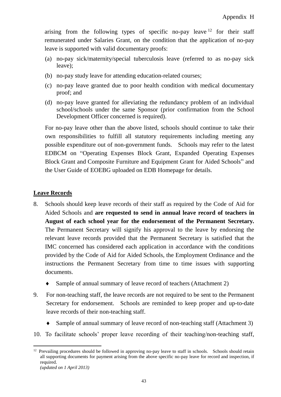arising from the following types of specific no-pay leave  $12$  for their staff remunerated under Salaries Grant, on the condition that the application of no-pay leave is supported with valid documentary proofs:

- (a) no-pay sick/maternity/special tuberculosis leave (referred to as no-pay sick leave);
- (b) no-pay study leave for attending education-related courses;
- (c) no-pay leave granted due to poor health condition with medical documentary proof; and
- (d) no-pay leave granted for alleviating the redundancy problem of an individual school/schools under the same Sponsor (prior confirmation from the School Development Officer concerned is required).

For no-pay leave other than the above listed, schools should continue to take their own responsibilities to fulfill all statutory requirements including meeting any possible expenditure out of non-government funds. Schools may refer to the latest EDBCM on "Operating Expenses Block Grant, Expanded Operating Expenses Block Grant and Composite Furniture and Equipment Grant for Aided Schools" and the User Guide of EOEBG uploaded on EDB Homepage for details.

#### **Leave Records**

- 8. Schools should keep leave records of their staff as required by the Code of Aid for Aided Schools and **are requested to send in annual leave record of teachers in August of each school year for the endorsement of the Permanent Secretary.** The Permanent Secretary will signify his approval to the leave by endorsing the relevant leave records provided that the Permanent Secretary is satisfied that the IMC concerned has considered each application in accordance with the conditions provided by the Code of Aid for Aided Schools, the Employment Ordinance and the instructions the Permanent Secretary from time to time issues with supporting documents.
	- Sample of annual summary of leave record of teachers (Attachment 2)
- 9. For non-teaching staff, the leave records are not required to be sent to the Permanent Secretary for endorsement. Schools are reminded to keep proper and up-to-date leave records of their non-teaching staff.
	- Sample of annual summary of leave record of non-teaching staff (Attachment 3)
- 10. To facilitate schools' proper leave recording of their teaching/non-teaching staff,

 $\overline{a}$  $12$  Prevailing procedures should be followed in approving no-pay leave to staff in schools. Schools should retain all supporting documents for payment arising from the above specific no-pay leave for record and inspection, if required. *(updated on 1 April 2013)*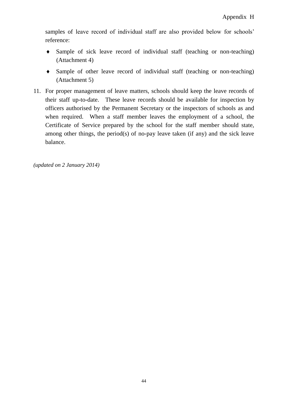samples of leave record of individual staff are also provided below for schools' reference:

- Sample of sick leave record of individual staff (teaching or non-teaching) (Attachment 4)
- Sample of other leave record of individual staff (teaching or non-teaching) (Attachment 5)
- 11. For proper management of leave matters, schools should keep the leave records of their staff up-to-date. These leave records should be available for inspection by officers authorised by the Permanent Secretary or the inspectors of schools as and when required. When a staff member leaves the employment of a school, the Certificate of Service prepared by the school for the staff member should state, among other things, the period(s) of no-pay leave taken (if any) and the sick leave balance.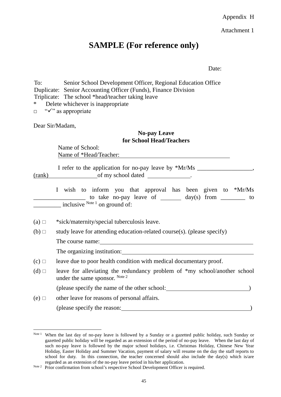Attachment 1

# **SAMPLE (For reference only)**

Date:

To: Senior School Development Officer, Regional Education Office Duplicate: Senior Accounting Officer (Funds), Finance Division Triplicate: The school \*head/teacher taking leave \* Delete whichever is inappropriate  $\Box$  " $\checkmark$ " as appropriate

Dear Sir/Madam,

#### **No-pay Leave for School Head/Teachers**

Name of School: Name of \*Head/Teacher:

|        | I refer to the application for no-pay leave by *Mr/Ms |  |
|--------|-------------------------------------------------------|--|
| (rank) | of my school dated                                    |  |

I wish to inform you that approval has been given to \*Mr/Ms  $\Box$  to take no-pay leave of  $\Box$  day(s) from  $\Box$  to  $\overline{\text{inclusive}}^{\text{Note 1}}$  on ground of:

- (a)  $\Box$  \*sick/maternity/special tuberculosis leave.
- (b)  $\Box$  study leave for attending education-related course(s). (please specify)

The course name:

 $\overline{a}$ 

The organizing institution:

- $(c)$   $\Box$  leave due to poor health condition with medical documentary proof.
- (d)  $\Box$  leave for alleviating the redundancy problem of \*my school/another school under the same sponsor. Note 2 (please specify the name of the other school: )
- $(e)$   $\Box$  other leave for reasons of personal affairs. (please specify the reason: )

Note 1 When the last day of no-pay leave is followed by a Sunday or a gazetted public holiday, such Sunday or gazetted public holiday will be regarded as an extension of the period of no-pay leave. When the last day of such no-pay leave is followed by the major school holidays, i.e. Christmas Holiday, Chinese New Year Holiday, Easter Holiday and Summer Vacation, payment of salary will resume on the day the staff reports to school for duty. In this connection, the teacher concerned should also include the day(s) which is/are regarded as an extension of the no-pay leave period in his/her application.

Note 2 Prior confirmation from school's respective School Development Officer is required.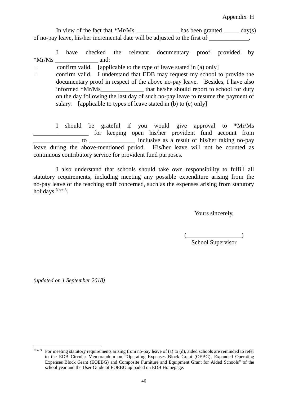In view of the fact that  $*Mr/Ms$  has been granted day(s) of no-pay leave, his/her incremental date will be adjusted to the first of \_\_\_\_\_\_\_\_\_\_\_\_\_.

I have checked the relevant documentary proof provided by  $*Mr/Ms$  and:

 $\Box$  confirm valid. [applicable to the type of leave stated in (a) only]

 $\Box$  confirm valid. I understand that EDB may request my school to provide the documentary proof in respect of the above no-pay leave. Besides, I have also informed \*Mr/Ms\_\_\_\_\_\_\_\_\_\_\_\_\_\_ that he/she should report to school for duty on the day following the last day of such no-pay leave to resume the payment of salary. [applicable to types of leave stated in (b) to (e) only]

I should be grateful if you would give approval to \*Mr/Ms \_\_\_\_\_\_\_\_\_\_\_\_\_\_\_\_\_\_ for keeping open his/her provident fund account from  $\Box$  to  $\Box$  \_\_\_\_\_\_\_\_\_\_\_\_\_\_\_\_\_\_ inclusive as a result of his/her taking no-pay leave during the above-mentioned period. His/her leave will not be counted as continuous contributory service for provident fund purposes.

I also understand that schools should take own responsibility to fulfill all statutory requirements, including meeting any possible expenditure arising from the no-pay leave of the teaching staff concerned, such as the expenses arising from statutory holidays Note 3.

Yours sincerely,

 $\frac{1}{2}$ 

School Supervisor

*(updated on 1 September 2018)*

 $\overline{a}$ 

Note 3 For meeting statutory requirements arising from no-pay leave of (a) to (d), aided schools are reminded to refer to the EDB Circular Memorandum on "Operating Expenses Block Grant (OEBG), Expanded Operating Expenses Block Grant (EOEBG) and Composite Furniture and Equipment Grant for Aided Schools" of the school year and the User Guide of EOEBG uploaded on EDB Homepage.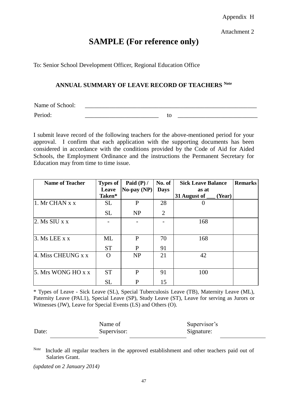Attachment 2

# **SAMPLE (For reference only)**

To: Senior School Development Officer, Regional Education Office

#### **ANNUAL SUMMARY OF LEAVE RECORD OF TEACHERS Note**

Name of School:

Period: \_\_\_\_\_\_\_\_\_\_\_\_\_\_\_\_\_\_\_\_\_\_\_\_ to \_\_\_\_\_\_\_\_\_\_\_\_\_\_\_\_\_\_\_\_\_\_\_\_\_\_

I submit leave record of the following teachers for the above-mentioned period for your approval. I confirm that each application with the supporting documents has been considered in accordance with the conditions provided by the Code of Aid for Aided Schools, the Employment Ordinance and the instructions the Permanent Secretary for Education may from time to time issue.

| <b>Name of Teacher</b>   | <b>Types of</b> | Paid $(P)$ /     | No. of         | <b>Sick Leave Balance</b>                       | <b>Remarks</b> |
|--------------------------|-----------------|------------------|----------------|-------------------------------------------------|----------------|
|                          | Leave           | $No$ -pay $(NP)$ | <b>Days</b>    | as at                                           |                |
|                          | Taken*          |                  |                | 31 August of $\overline{\phantom{a}}$<br>(Year) |                |
| $ 1. Mr$ CHAN $x \times$ | <b>SL</b>       | P                | 28             |                                                 |                |
|                          | <b>SL</b>       | <b>NP</b>        | $\overline{2}$ |                                                 |                |
| $ 2.$ Ms SIU x x         |                 |                  |                | 168                                             |                |
| 3. Ms LEE $x x$          | ML              | $\mathbf P$      | 70             | 168                                             |                |
|                          | <b>ST</b>       | P                | 91             |                                                 |                |
| 4. Miss CHEUNG x x       |                 | <b>NP</b>        | 21             | 42                                              |                |
| 5. Mrs WONG HO x x       | <b>ST</b>       | P                | 91             | 100                                             |                |
|                          | <b>SL</b>       | P                | 15             |                                                 |                |

\* Types of Leave - Sick Leave (SL), Special Tuberculosis Leave (TB), Maternity Leave (ML), Paternity Leave (PAL1), Special Leave (SP), Study Leave (ST), Leave for serving as Jurors or Witnesses (JW), Leave for Special Events (LS) and Others (O).

|       | Name of     | Supervisor's |
|-------|-------------|--------------|
| Date: | Supervisor: | Signature:   |

Note Include all regular teachers in the approved establishment and other teachers paid out of Salaries Grant.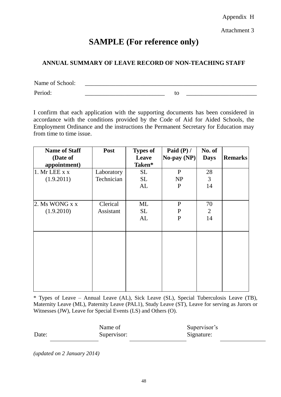Attachment 3

# **SAMPLE (For reference only)**

#### **ANNUAL SUMMARY OF LEAVE RECORD OF NON-TEACHING STAFF**

Name of School: Period: \_\_\_\_\_\_\_\_\_\_\_\_\_\_\_\_\_\_\_\_\_\_\_\_\_\_ to \_\_\_\_\_\_\_\_\_\_\_\_\_\_\_\_\_\_\_\_\_\_\_

I confirm that each application with the supporting documents has been considered in accordance with the conditions provided by the Code of Aid for Aided Schools, the Employment Ordinance and the instructions the Permanent Secretary for Education may from time to time issue.

| <b>Name of Staff</b> | <b>Post</b> | <b>Types of</b> | Paid $(P)$ /       | No. of         |                |
|----------------------|-------------|-----------------|--------------------|----------------|----------------|
| (Date of             |             | Leave           | $\bf{No-pay}$ (NP) | <b>Days</b>    | <b>Remarks</b> |
| appointment)         |             | Taken*          |                    |                |                |
| 1. Mr LEE x x        | Laboratory  | <b>SL</b>       | $\mathbf{P}$       | 28             |                |
| (1.9.2011)           | Technician  | <b>SL</b>       | <b>NP</b>          | $\overline{3}$ |                |
|                      |             | AL              | $\mathbf{P}$       | 14             |                |
|                      |             |                 |                    |                |                |
| 2. Ms WONG x x       | Clerical    | ML              | $\mathbf{P}$       | 70             |                |
| (1.9.2010)           | Assistant   | <b>SL</b>       | P                  | 2              |                |
|                      |             | AL              | P                  | 14             |                |
|                      |             |                 |                    |                |                |
|                      |             |                 |                    |                |                |
|                      |             |                 |                    |                |                |
|                      |             |                 |                    |                |                |
|                      |             |                 |                    |                |                |
|                      |             |                 |                    |                |                |
|                      |             |                 |                    |                |                |
|                      |             |                 |                    |                |                |
|                      |             |                 |                    |                |                |

\* Types of Leave – Annual Leave (AL), Sick Leave (SL), Special Tuberculosis Leave (TB), Maternity Leave (ML), Paternity Leave (PAL1), Study Leave (ST), Leave for serving as Jurors or Witnesses (JW), Leave for Special Events (LS) and Others (O).

|       | Name of     | Supervisor's |
|-------|-------------|--------------|
| Date: | Supervisor: | Signature:   |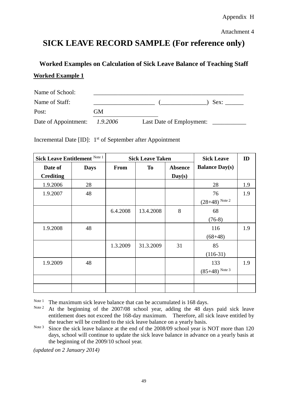Attachment 4

# **SICK LEAVE RECORD SAMPLE (For reference only)**

# **Worked Examples on Calculation of Sick Leave Balance of Teaching Staff Worked Example 1**

| Name of School:               |    |                          |      |
|-------------------------------|----|--------------------------|------|
| Name of Staff:                |    |                          | Sex: |
| Post:                         | GМ |                          |      |
| Date of Appointment: 1.9.2006 |    | Last Date of Employment: |      |

Incremental Date [ID]: 1<sup>st</sup> of September after Appointment

| Sick Leave Entitlement Note 1 |             | <b>Sick Leave Taken</b> |           |                | <b>Sick Leave</b>     | ID  |
|-------------------------------|-------------|-------------------------|-----------|----------------|-----------------------|-----|
| Date of                       | <b>Days</b> | <b>From</b>             | To        | <b>Absence</b> | <b>Balance Day(s)</b> |     |
| <b>Crediting</b>              |             |                         |           | Day(s)         |                       |     |
| 1.9.2006                      | 28          |                         |           |                | 28                    | 1.9 |
| 1.9.2007                      | 48          |                         |           |                | 76                    | 1.9 |
|                               |             |                         |           |                | $(28+48)$ Note 2      |     |
|                               |             | 6.4.2008                | 13.4.2008 | 8              | 68                    |     |
|                               |             |                         |           |                | $(76-8)$              |     |
| 1.9.2008                      | 48          |                         |           |                | 116                   | 1.9 |
|                               |             |                         |           |                | $(68+48)$             |     |
|                               |             | 1.3.2009                | 31.3.2009 | 31             | 85                    |     |
|                               |             |                         |           |                | $(116-31)$            |     |
| 1.9.2009                      | 48          |                         |           |                | 133                   | 1.9 |
|                               |             |                         |           |                | $(85+48)$ Note 3      |     |
|                               |             |                         |           |                |                       |     |
|                               |             |                         |           |                |                       |     |

Note 1 The maximum sick leave balance that can be accumulated is 168 days.

Note 2 At the beginning of the 2007/08 school year, adding the 48 days paid sick leave entitlement does not exceed the 168-day maximum. Therefore, all sick leave entitled by the teacher will be credited to the sick leave balance on a yearly basis.

Note 3 Since the sick leave balance at the end of the 2008/09 school year is NOT more than 120 days, school will continue to update the sick leave balance in advance on a yearly basis at the beginning of the 2009/10 school year.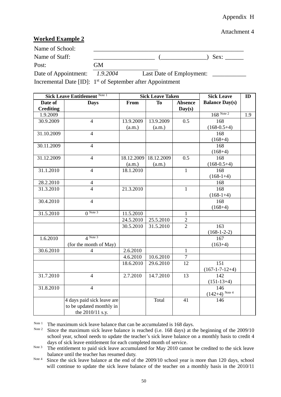#### Attachment 4

#### **Worked Example 2**

| Name of School:                                          |    |                          |      |
|----------------------------------------------------------|----|--------------------------|------|
| Name of Staff:                                           |    |                          | Sex: |
| Post:                                                    | GM |                          |      |
| Date of Appointment: 1.9.2004                            |    | Last Date of Employment: |      |
| $\mathbf{r}$ and $\mathbf{r}$ is the set of $\mathbf{r}$ |    |                          |      |

Incremental Date [ID]: 1<sup>st</sup> of September after Appointment

| Sick Leave Entitlement Note 1 |                                                                            | <b>Sick Leave Taken</b> |            |                          | <b>Sick Leave</b>     | ID  |
|-------------------------------|----------------------------------------------------------------------------|-------------------------|------------|--------------------------|-----------------------|-----|
| Date of<br><b>Crediting</b>   | <b>Days</b>                                                                | From                    | <b>To</b>  | <b>Absence</b><br>Day(s) | <b>Balance Day(s)</b> |     |
| 1.9.2009                      |                                                                            |                         |            |                          | $168$ Note 2          | 1.9 |
| 30.9.2009                     | $\overline{4}$                                                             | 13.9.2009               | 13.9.2009  | 0.5                      | 168                   |     |
|                               |                                                                            | (a.m.)                  | (a.m.)     |                          | $(168-0.5+4)$         |     |
| 31.10.2009                    | $\overline{4}$                                                             |                         |            |                          | 168<br>$(168+4)$      |     |
| 30.11.2009                    | $\overline{4}$                                                             |                         |            |                          | 168                   |     |
|                               |                                                                            |                         |            |                          | $(168+4)$             |     |
| 31.12.2009                    | $\overline{4}$                                                             | 18.12.2009              | 18.12.2009 | $\overline{0.5}$         | 168                   |     |
|                               |                                                                            | (a.m.)                  | (a.m.)     |                          | $(168-0.5+4)$         |     |
| 31.1.2010                     | $\overline{4}$                                                             | 18.1.2010               |            | $\mathbf{1}$             | 168                   |     |
|                               |                                                                            |                         |            |                          | $(168-1+4)$           |     |
| 28.2.2010                     | $\overline{4}$                                                             |                         |            |                          | 168                   |     |
| 31.3.2010                     | $\overline{4}$                                                             | 21.3.2010               |            | $\mathbf{1}$             | 168                   |     |
|                               |                                                                            |                         |            |                          | $(168-1+4)$           |     |
| 30.4.2010                     | $\overline{4}$                                                             |                         |            |                          | 168                   |     |
|                               |                                                                            |                         |            |                          | $(168+4)$             |     |
| 31.5.2010                     | $\overline{0}$ Note 3                                                      | 11.5.2010               |            | $\mathbf{1}$             |                       |     |
|                               |                                                                            | 24.5.2010               | 25.5.2010  | $\overline{c}$           |                       |     |
|                               |                                                                            | 30.5.2010               | 31.5.2010  | $\overline{2}$           | 163<br>$(168-1-2-2)$  |     |
| 1.6.2010                      | $4$ Note 3                                                                 |                         |            |                          | 167                   |     |
|                               | (for the month of May)                                                     |                         |            |                          | $(163+4)$             |     |
| 30.6.2010                     | 4                                                                          | 2.6.2010                |            | $\mathbf{1}$             |                       |     |
|                               |                                                                            | 4.6.2010                | 10.6.2010  | $\tau$                   |                       |     |
|                               |                                                                            | 18.6.2010               | 29.6.2010  | 12                       | 151                   |     |
|                               |                                                                            |                         |            |                          | $(167-1-7-12+4)$      |     |
| 31.7.2010                     | $\overline{4}$                                                             | 2.7.2010                | 14.7.2010  | 13                       | 142<br>$(151-13+4)$   |     |
| 31.8.2010                     | $\overline{4}$                                                             |                         |            |                          | 146                   |     |
|                               |                                                                            |                         |            |                          | $(142+4)$ Note 4      |     |
|                               | 4 days paid sick leave are<br>to be updated monthly in<br>the 2010/11 s.y. |                         | Total      | 41                       | 146                   |     |
|                               |                                                                            |                         |            |                          |                       |     |

Note 1 The maximum sick leave balance that can be accumulated is 168 days.<br>Note 2 Since the maximum sick leave balance is reached (i.e.  $168$  days) at the

Since the maximum sick leave balance is reached (i.e. 168 days) at the beginning of the 2009/10 school year, school needs to update the teacher's sick leave balance on a monthly basis to credit 4 days of sick leave entitlement for each completed month of service.

Note 3 The entitlement to paid sick leave accumulated for May 2010 cannot be credited to the sick leave balance until the teacher has resumed duty.

Note 4 Since the sick leave balance at the end of the 2009/10 school year is more than 120 days, school will continue to update the sick leave balance of the teacher on a monthly basis in the 2010/11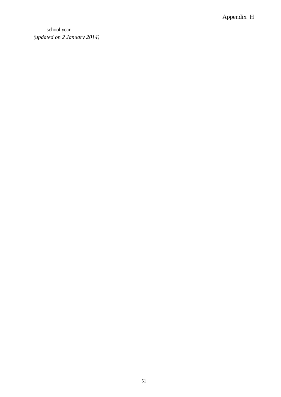school year. *(updated on 2 January 2014)*